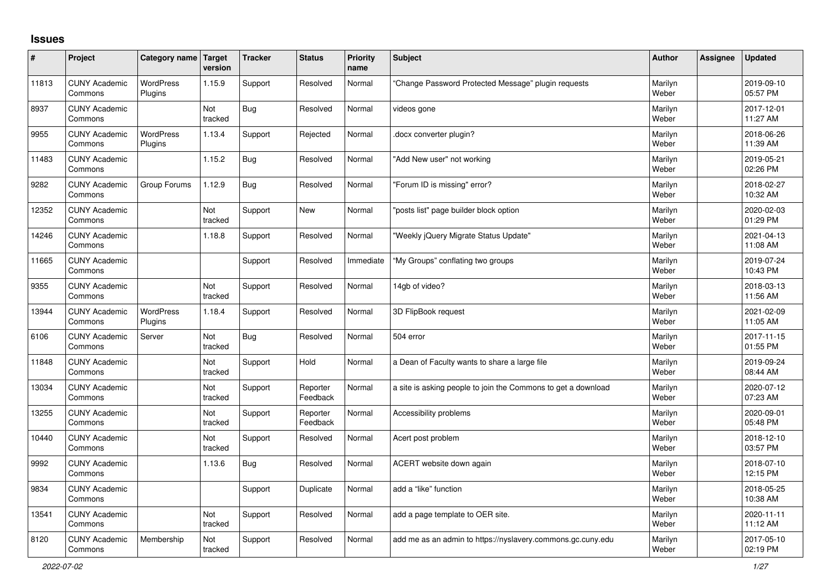## **Issues**

| ∦     | Project                         | Category name Target        | version        | <b>Tracker</b> | <b>Status</b>        | <b>Priority</b><br>name | <b>Subject</b>                                                | <b>Author</b>    | <b>Assignee</b> | <b>Updated</b>         |
|-------|---------------------------------|-----------------------------|----------------|----------------|----------------------|-------------------------|---------------------------------------------------------------|------------------|-----------------|------------------------|
| 11813 | <b>CUNY Academic</b><br>Commons | <b>WordPress</b><br>Plugins | 1.15.9         | Support        | Resolved             | Normal                  | Change Password Protected Message" plugin requests            | Marilyn<br>Weber |                 | 2019-09-10<br>05:57 PM |
| 8937  | <b>CUNY Academic</b><br>Commons |                             | Not<br>tracked | Bug            | Resolved             | Normal                  | videos gone                                                   | Marilyn<br>Weber |                 | 2017-12-01<br>11:27 AM |
| 9955  | <b>CUNY Academic</b><br>Commons | <b>WordPress</b><br>Plugins | 1.13.4         | Support        | Rejected             | Normal                  | docx converter plugin?                                        | Marilyn<br>Weber |                 | 2018-06-26<br>11:39 AM |
| 11483 | <b>CUNY Academic</b><br>Commons |                             | 1.15.2         | Bug            | Resolved             | Normal                  | 'Add New user" not working                                    | Marilyn<br>Weber |                 | 2019-05-21<br>02:26 PM |
| 9282  | <b>CUNY Academic</b><br>Commons | Group Forums                | 1.12.9         | Bug            | Resolved             | Normal                  | 'Forum ID is missing" error?                                  | Marilyn<br>Weber |                 | 2018-02-27<br>10:32 AM |
| 12352 | <b>CUNY Academic</b><br>Commons |                             | Not<br>tracked | Support        | <b>New</b>           | Normal                  | 'posts list" page builder block option                        | Marilyn<br>Weber |                 | 2020-02-03<br>01:29 PM |
| 14246 | <b>CUNY Academic</b><br>Commons |                             | 1.18.8         | Support        | Resolved             | Normal                  | "Weekly jQuery Migrate Status Update"                         | Marilyn<br>Weber |                 | 2021-04-13<br>11:08 AM |
| 11665 | <b>CUNY Academic</b><br>Commons |                             |                | Support        | Resolved             | Immediate               | "My Groups" conflating two groups                             | Marilyn<br>Weber |                 | 2019-07-24<br>10:43 PM |
| 9355  | <b>CUNY Academic</b><br>Commons |                             | Not<br>tracked | Support        | Resolved             | Normal                  | 14gb of video?                                                | Marilyn<br>Weber |                 | 2018-03-13<br>11:56 AM |
| 13944 | <b>CUNY Academic</b><br>Commons | <b>WordPress</b><br>Plugins | 1.18.4         | Support        | Resolved             | Normal                  | 3D FlipBook request                                           | Marilyn<br>Weber |                 | 2021-02-09<br>11:05 AM |
| 6106  | <b>CUNY Academic</b><br>Commons | Server                      | Not<br>tracked | Bug            | Resolved             | Normal                  | 504 error                                                     | Marilyn<br>Weber |                 | 2017-11-15<br>01:55 PM |
| 11848 | <b>CUNY Academic</b><br>Commons |                             | Not<br>tracked | Support        | Hold                 | Normal                  | a Dean of Faculty wants to share a large file                 | Marilyn<br>Weber |                 | 2019-09-24<br>08:44 AM |
| 13034 | <b>CUNY Academic</b><br>Commons |                             | Not<br>tracked | Support        | Reporter<br>Feedback | Normal                  | a site is asking people to join the Commons to get a download | Marilyn<br>Weber |                 | 2020-07-12<br>07:23 AM |
| 13255 | <b>CUNY Academic</b><br>Commons |                             | Not<br>tracked | Support        | Reporter<br>Feedback | Normal                  | Accessibility problems                                        | Marilyn<br>Weber |                 | 2020-09-01<br>05:48 PM |
| 10440 | <b>CUNY Academic</b><br>Commons |                             | Not<br>tracked | Support        | Resolved             | Normal                  | Acert post problem                                            | Marilyn<br>Weber |                 | 2018-12-10<br>03:57 PM |
| 9992  | <b>CUNY Academic</b><br>Commons |                             | 1.13.6         | Bug            | Resolved             | Normal                  | ACERT website down again                                      | Marilyn<br>Weber |                 | 2018-07-10<br>12:15 PM |
| 9834  | <b>CUNY Academic</b><br>Commons |                             |                | Support        | Duplicate            | Normal                  | add a "like" function                                         | Marilyn<br>Weber |                 | 2018-05-25<br>10:38 AM |
| 13541 | <b>CUNY Academic</b><br>Commons |                             | Not<br>tracked | Support        | Resolved             | Normal                  | add a page template to OER site.                              | Marilyn<br>Weber |                 | 2020-11-11<br>11:12 AM |
| 8120  | <b>CUNY Academic</b><br>Commons | Membership                  | Not<br>tracked | Support        | Resolved             | Normal                  | add me as an admin to https://nyslavery.commons.gc.cuny.edu   | Marilyn<br>Weber |                 | 2017-05-10<br>02:19 PM |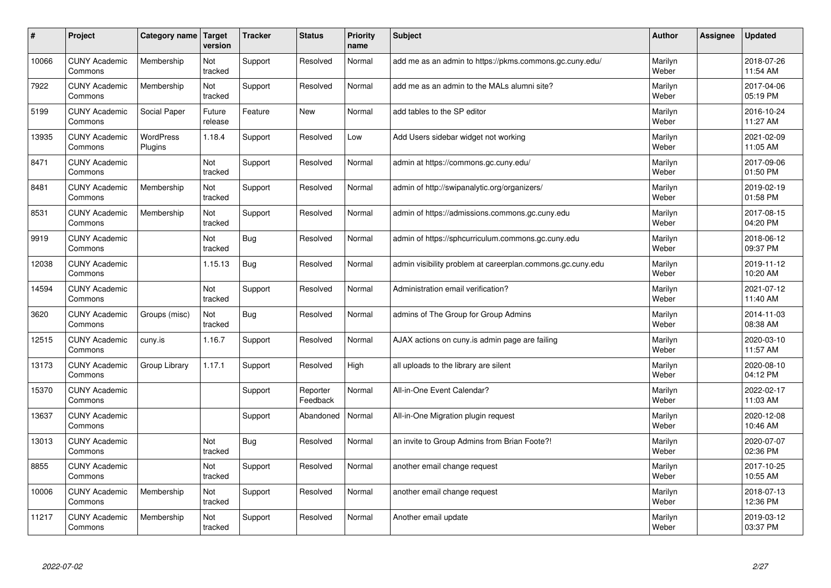| #     | Project                         | Category name               | Target<br>version | <b>Tracker</b> | <b>Status</b>        | <b>Priority</b><br>name | <b>Subject</b>                                             | <b>Author</b>    | Assignee | <b>Updated</b>         |
|-------|---------------------------------|-----------------------------|-------------------|----------------|----------------------|-------------------------|------------------------------------------------------------|------------------|----------|------------------------|
| 10066 | <b>CUNY Academic</b><br>Commons | Membership                  | Not<br>tracked    | Support        | Resolved             | Normal                  | add me as an admin to https://pkms.commons.gc.cuny.edu/    | Marilyn<br>Weber |          | 2018-07-26<br>11:54 AM |
| 7922  | <b>CUNY Academic</b><br>Commons | Membership                  | Not<br>tracked    | Support        | Resolved             | Normal                  | add me as an admin to the MALs alumni site?                | Marilyn<br>Weber |          | 2017-04-06<br>05:19 PM |
| 5199  | <b>CUNY Academic</b><br>Commons | Social Paper                | Future<br>release | Feature        | <b>New</b>           | Normal                  | add tables to the SP editor                                | Marilyn<br>Weber |          | 2016-10-24<br>11:27 AM |
| 13935 | <b>CUNY Academic</b><br>Commons | <b>WordPress</b><br>Plugins | 1.18.4            | Support        | Resolved             | Low                     | Add Users sidebar widget not working                       | Marilyn<br>Weber |          | 2021-02-09<br>11:05 AM |
| 8471  | <b>CUNY Academic</b><br>Commons |                             | Not<br>tracked    | Support        | Resolved             | Normal                  | admin at https://commons.gc.cuny.edu/                      | Marilyn<br>Weber |          | 2017-09-06<br>01:50 PM |
| 8481  | <b>CUNY Academic</b><br>Commons | Membership                  | Not<br>tracked    | Support        | Resolved             | Normal                  | admin of http://swipanalytic.org/organizers/               | Marilyn<br>Weber |          | 2019-02-19<br>01:58 PM |
| 8531  | <b>CUNY Academic</b><br>Commons | Membership                  | Not<br>tracked    | Support        | Resolved             | Normal                  | admin of https://admissions.commons.gc.cuny.edu            | Marilyn<br>Weber |          | 2017-08-15<br>04:20 PM |
| 9919  | <b>CUNY Academic</b><br>Commons |                             | Not<br>tracked    | <b>Bug</b>     | Resolved             | Normal                  | admin of https://sphcurriculum.commons.gc.cuny.edu         | Marilyn<br>Weber |          | 2018-06-12<br>09:37 PM |
| 12038 | <b>CUNY Academic</b><br>Commons |                             | 1.15.13           | Bug            | Resolved             | Normal                  | admin visibility problem at careerplan.commons.gc.cuny.edu | Marilyn<br>Weber |          | 2019-11-12<br>10:20 AM |
| 14594 | <b>CUNY Academic</b><br>Commons |                             | Not<br>tracked    | Support        | Resolved             | Normal                  | Administration email verification?                         | Marilyn<br>Weber |          | 2021-07-12<br>11:40 AM |
| 3620  | <b>CUNY Academic</b><br>Commons | Groups (misc)               | Not<br>tracked    | <b>Bug</b>     | Resolved             | Normal                  | admins of The Group for Group Admins                       | Marilyn<br>Weber |          | 2014-11-03<br>08:38 AM |
| 12515 | <b>CUNY Academic</b><br>Commons | cuny.is                     | 1.16.7            | Support        | Resolved             | Normal                  | AJAX actions on cuny is admin page are failing             | Marilyn<br>Weber |          | 2020-03-10<br>11:57 AM |
| 13173 | <b>CUNY Academic</b><br>Commons | Group Library               | 1.17.1            | Support        | Resolved             | High                    | all uploads to the library are silent                      | Marilyn<br>Weber |          | 2020-08-10<br>04:12 PM |
| 15370 | <b>CUNY Academic</b><br>Commons |                             |                   | Support        | Reporter<br>Feedback | Normal                  | All-in-One Event Calendar?                                 | Marilyn<br>Weber |          | 2022-02-17<br>11:03 AM |
| 13637 | <b>CUNY Academic</b><br>Commons |                             |                   | Support        | Abandoned            | Normal                  | All-in-One Migration plugin request                        | Marilyn<br>Weber |          | 2020-12-08<br>10:46 AM |
| 13013 | <b>CUNY Academic</b><br>Commons |                             | Not<br>tracked    | Bug            | Resolved             | Normal                  | an invite to Group Admins from Brian Foote?!               | Marilyn<br>Weber |          | 2020-07-07<br>02:36 PM |
| 8855  | <b>CUNY Academic</b><br>Commons |                             | Not<br>tracked    | Support        | Resolved             | Normal                  | another email change request                               | Marilyn<br>Weber |          | 2017-10-25<br>10:55 AM |
| 10006 | <b>CUNY Academic</b><br>Commons | Membership                  | Not<br>tracked    | Support        | Resolved             | Normal                  | another email change request                               | Marilyn<br>Weber |          | 2018-07-13<br>12:36 PM |
| 11217 | <b>CUNY Academic</b><br>Commons | Membership                  | Not<br>tracked    | Support        | Resolved             | Normal                  | Another email update                                       | Marilyn<br>Weber |          | 2019-03-12<br>03:37 PM |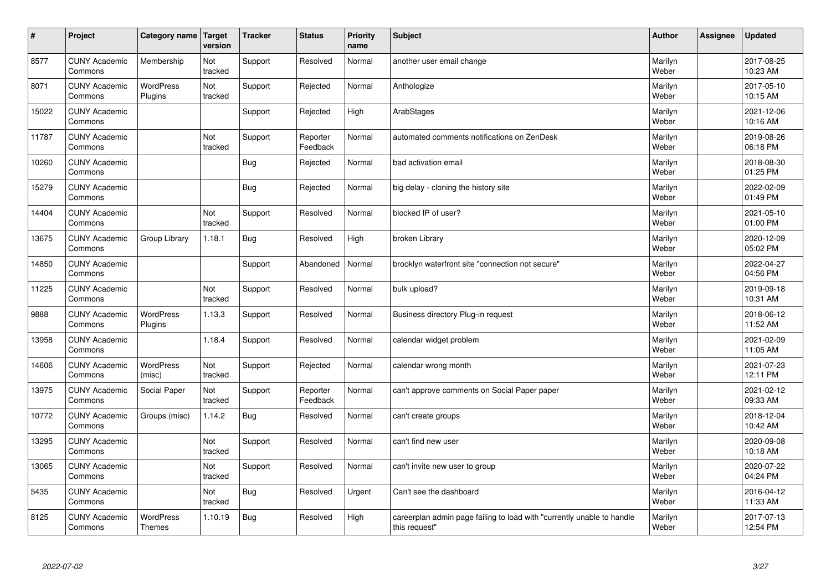| $\vert$ # | Project                         | Category name   Target            | version        | <b>Tracker</b> | <b>Status</b>        | <b>Priority</b><br>name | <b>Subject</b>                                                                          | <b>Author</b>    | Assignee | <b>Updated</b>         |
|-----------|---------------------------------|-----------------------------------|----------------|----------------|----------------------|-------------------------|-----------------------------------------------------------------------------------------|------------------|----------|------------------------|
| 8577      | <b>CUNY Academic</b><br>Commons | Membership                        | Not<br>tracked | Support        | Resolved             | Normal                  | another user email change                                                               | Marilyn<br>Weber |          | 2017-08-25<br>10:23 AM |
| 8071      | <b>CUNY Academic</b><br>Commons | WordPress<br>Plugins              | Not<br>tracked | Support        | Rejected             | Normal                  | Anthologize                                                                             | Marilyn<br>Weber |          | 2017-05-10<br>10:15 AM |
| 15022     | <b>CUNY Academic</b><br>Commons |                                   |                | Support        | Rejected             | High                    | ArabStages                                                                              | Marilyn<br>Weber |          | 2021-12-06<br>10:16 AM |
| 11787     | <b>CUNY Academic</b><br>Commons |                                   | Not<br>tracked | Support        | Reporter<br>Feedback | Normal                  | automated comments notifications on ZenDesk                                             | Marilyn<br>Weber |          | 2019-08-26<br>06:18 PM |
| 10260     | <b>CUNY Academic</b><br>Commons |                                   |                | <b>Bug</b>     | Rejected             | Normal                  | bad activation email                                                                    | Marilyn<br>Weber |          | 2018-08-30<br>01:25 PM |
| 15279     | <b>CUNY Academic</b><br>Commons |                                   |                | Bug            | Rejected             | Normal                  | big delay - cloning the history site                                                    | Marilyn<br>Weber |          | 2022-02-09<br>01:49 PM |
| 14404     | <b>CUNY Academic</b><br>Commons |                                   | Not<br>tracked | Support        | Resolved             | Normal                  | blocked IP of user?                                                                     | Marilyn<br>Weber |          | 2021-05-10<br>01:00 PM |
| 13675     | <b>CUNY Academic</b><br>Commons | Group Library                     | 1.18.1         | <b>Bug</b>     | Resolved             | High                    | broken Library                                                                          | Marilyn<br>Weber |          | 2020-12-09<br>05:02 PM |
| 14850     | <b>CUNY Academic</b><br>Commons |                                   |                | Support        | Abandoned            | Normal                  | brooklyn waterfront site "connection not secure"                                        | Marilyn<br>Weber |          | 2022-04-27<br>04:56 PM |
| 11225     | <b>CUNY Academic</b><br>Commons |                                   | Not<br>tracked | Support        | Resolved             | Normal                  | bulk upload?                                                                            | Marilyn<br>Weber |          | 2019-09-18<br>10:31 AM |
| 9888      | <b>CUNY Academic</b><br>Commons | WordPress<br>Plugins              | 1.13.3         | Support        | Resolved             | Normal                  | Business directory Plug-in request                                                      | Marilyn<br>Weber |          | 2018-06-12<br>11:52 AM |
| 13958     | <b>CUNY Academic</b><br>Commons |                                   | 1.18.4         | Support        | Resolved             | Normal                  | calendar widget problem                                                                 | Marilyn<br>Weber |          | 2021-02-09<br>11:05 AM |
| 14606     | <b>CUNY Academic</b><br>Commons | WordPress<br>(misc)               | Not<br>tracked | Support        | Rejected             | Normal                  | calendar wrong month                                                                    | Marilyn<br>Weber |          | 2021-07-23<br>12:11 PM |
| 13975     | <b>CUNY Academic</b><br>Commons | Social Paper                      | Not<br>tracked | Support        | Reporter<br>Feedback | Normal                  | can't approve comments on Social Paper paper                                            | Marilyn<br>Weber |          | 2021-02-12<br>09:33 AM |
| 10772     | <b>CUNY Academic</b><br>Commons | Groups (misc)                     | 1.14.2         | <b>Bug</b>     | Resolved             | Normal                  | can't create groups                                                                     | Marilyn<br>Weber |          | 2018-12-04<br>10:42 AM |
| 13295     | <b>CUNY Academic</b><br>Commons |                                   | Not<br>tracked | Support        | Resolved             | Normal                  | can't find new user                                                                     | Marilyn<br>Weber |          | 2020-09-08<br>10:18 AM |
| 13065     | <b>CUNY Academic</b><br>Commons |                                   | Not<br>tracked | Support        | Resolved             | Normal                  | can't invite new user to group                                                          | Marilyn<br>Weber |          | 2020-07-22<br>04:24 PM |
| 5435      | <b>CUNY Academic</b><br>Commons |                                   | Not<br>tracked | <b>Bug</b>     | Resolved             | Urgent                  | Can't see the dashboard                                                                 | Marilyn<br>Weber |          | 2016-04-12<br>11:33 AM |
| 8125      | <b>CUNY Academic</b><br>Commons | <b>WordPress</b><br><b>Themes</b> | 1.10.19        | Bug            | Resolved             | High                    | careerplan admin page failing to load with "currently unable to handle<br>this request" | Marilyn<br>Weber |          | 2017-07-13<br>12:54 PM |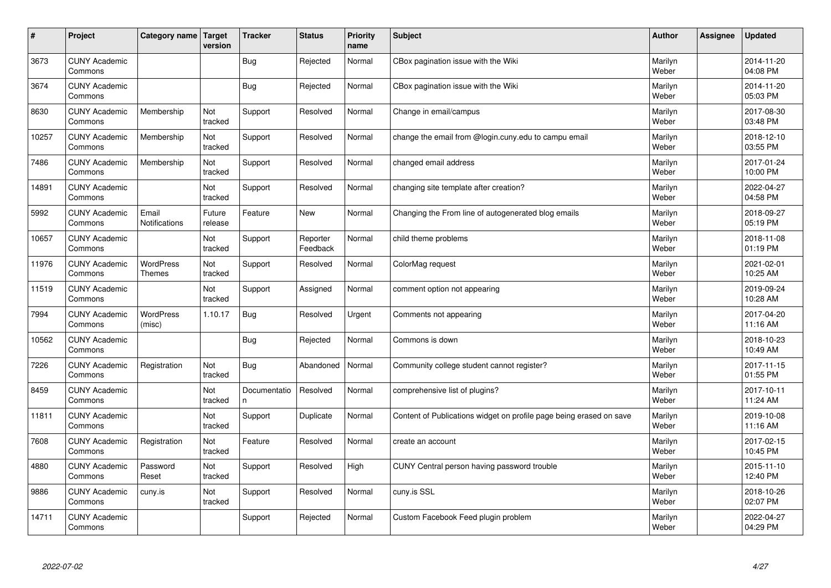| #     | Project                         | Category name   Target            | version           | <b>Tracker</b>    | <b>Status</b>        | <b>Priority</b><br>name | <b>Subject</b>                                                      | <b>Author</b>    | Assignee | <b>Updated</b>         |
|-------|---------------------------------|-----------------------------------|-------------------|-------------------|----------------------|-------------------------|---------------------------------------------------------------------|------------------|----------|------------------------|
| 3673  | <b>CUNY Academic</b><br>Commons |                                   |                   | Bug               | Rejected             | Normal                  | CBox pagination issue with the Wiki                                 | Marilyn<br>Weber |          | 2014-11-20<br>04:08 PM |
| 3674  | <b>CUNY Academic</b><br>Commons |                                   |                   | Bug               | Rejected             | Normal                  | CBox pagination issue with the Wiki                                 | Marilyn<br>Weber |          | 2014-11-20<br>05:03 PM |
| 8630  | <b>CUNY Academic</b><br>Commons | Membership                        | Not<br>tracked    | Support           | Resolved             | Normal                  | Change in email/campus                                              | Marilyn<br>Weber |          | 2017-08-30<br>03:48 PM |
| 10257 | <b>CUNY Academic</b><br>Commons | Membership                        | Not<br>tracked    | Support           | Resolved             | Normal                  | change the email from @login.cuny.edu to campu email                | Marilyn<br>Weber |          | 2018-12-10<br>03:55 PM |
| 7486  | <b>CUNY Academic</b><br>Commons | Membership                        | Not<br>tracked    | Support           | Resolved             | Normal                  | changed email address                                               | Marilyn<br>Weber |          | 2017-01-24<br>10:00 PM |
| 14891 | <b>CUNY Academic</b><br>Commons |                                   | Not<br>tracked    | Support           | Resolved             | Normal                  | changing site template after creation?                              | Marilyn<br>Weber |          | 2022-04-27<br>04:58 PM |
| 5992  | <b>CUNY Academic</b><br>Commons | Email<br>Notifications            | Future<br>release | Feature           | <b>New</b>           | Normal                  | Changing the From line of autogenerated blog emails                 | Marilyn<br>Weber |          | 2018-09-27<br>05:19 PM |
| 10657 | <b>CUNY Academic</b><br>Commons |                                   | Not<br>tracked    | Support           | Reporter<br>Feedback | Normal                  | child theme problems                                                | Marilyn<br>Weber |          | 2018-11-08<br>01:19 PM |
| 11976 | <b>CUNY Academic</b><br>Commons | <b>WordPress</b><br><b>Themes</b> | Not<br>tracked    | Support           | Resolved             | Normal                  | ColorMag request                                                    | Marilyn<br>Weber |          | 2021-02-01<br>10:25 AM |
| 11519 | <b>CUNY Academic</b><br>Commons |                                   | Not<br>tracked    | Support           | Assigned             | Normal                  | comment option not appearing                                        | Marilyn<br>Weber |          | 2019-09-24<br>10:28 AM |
| 7994  | <b>CUNY Academic</b><br>Commons | <b>WordPress</b><br>(misc)        | 1.10.17           | <b>Bug</b>        | Resolved             | Urgent                  | Comments not appearing                                              | Marilyn<br>Weber |          | 2017-04-20<br>11:16 AM |
| 10562 | <b>CUNY Academic</b><br>Commons |                                   |                   | Bug               | Rejected             | Normal                  | Commons is down                                                     | Marilyn<br>Weber |          | 2018-10-23<br>10:49 AM |
| 7226  | <b>CUNY Academic</b><br>Commons | Registration                      | Not<br>tracked    | Bug               | Abandoned            | Normal                  | Community college student cannot register?                          | Marilyn<br>Weber |          | 2017-11-15<br>01:55 PM |
| 8459  | <b>CUNY Academic</b><br>Commons |                                   | Not<br>tracked    | Documentatio<br>n | Resolved             | Normal                  | comprehensive list of plugins?                                      | Marilyn<br>Weber |          | 2017-10-11<br>11:24 AM |
| 11811 | <b>CUNY Academic</b><br>Commons |                                   | Not<br>tracked    | Support           | Duplicate            | Normal                  | Content of Publications widget on profile page being erased on save | Marilyn<br>Weber |          | 2019-10-08<br>11:16 AM |
| 7608  | <b>CUNY Academic</b><br>Commons | Registration                      | Not<br>tracked    | Feature           | Resolved             | Normal                  | create an account                                                   | Marilyn<br>Weber |          | 2017-02-15<br>10:45 PM |
| 4880  | <b>CUNY Academic</b><br>Commons | Password<br>Reset                 | Not<br>tracked    | Support           | Resolved             | High                    | CUNY Central person having password trouble                         | Marilyn<br>Weber |          | 2015-11-10<br>12:40 PM |
| 9886  | <b>CUNY Academic</b><br>Commons | cuny.is                           | Not<br>tracked    | Support           | Resolved             | Normal                  | cuny.is SSL                                                         | Marilyn<br>Weber |          | 2018-10-26<br>02:07 PM |
| 14711 | <b>CUNY Academic</b><br>Commons |                                   |                   | Support           | Rejected             | Normal                  | Custom Facebook Feed plugin problem                                 | Marilyn<br>Weber |          | 2022-04-27<br>04:29 PM |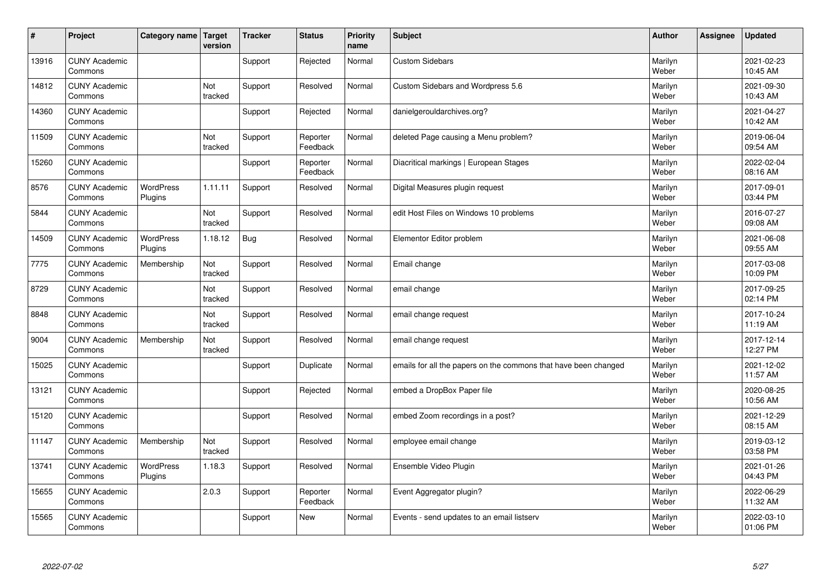| $\sharp$ | Project                         | Category name               | Target<br>version | <b>Tracker</b> | <b>Status</b>        | <b>Priority</b><br>name | <b>Subject</b>                                                  | <b>Author</b>    | <b>Assignee</b> | <b>Updated</b>         |
|----------|---------------------------------|-----------------------------|-------------------|----------------|----------------------|-------------------------|-----------------------------------------------------------------|------------------|-----------------|------------------------|
| 13916    | <b>CUNY Academic</b><br>Commons |                             |                   | Support        | Rejected             | Normal                  | <b>Custom Sidebars</b>                                          | Marilyn<br>Weber |                 | 2021-02-23<br>10:45 AM |
| 14812    | <b>CUNY Academic</b><br>Commons |                             | Not<br>tracked    | Support        | Resolved             | Normal                  | Custom Sidebars and Wordpress 5.6                               | Marilyn<br>Weber |                 | 2021-09-30<br>10:43 AM |
| 14360    | <b>CUNY Academic</b><br>Commons |                             |                   | Support        | Rejected             | Normal                  | danielgerouldarchives.org?                                      | Marilyn<br>Weber |                 | 2021-04-27<br>10:42 AM |
| 11509    | <b>CUNY Academic</b><br>Commons |                             | Not<br>tracked    | Support        | Reporter<br>Feedback | Normal                  | deleted Page causing a Menu problem?                            | Marilyn<br>Weber |                 | 2019-06-04<br>09:54 AM |
| 15260    | <b>CUNY Academic</b><br>Commons |                             |                   | Support        | Reporter<br>Feedback | Normal                  | Diacritical markings   European Stages                          | Marilyn<br>Weber |                 | 2022-02-04<br>08:16 AM |
| 8576     | <b>CUNY Academic</b><br>Commons | <b>WordPress</b><br>Plugins | 1.11.11           | Support        | Resolved             | Normal                  | Digital Measures plugin request                                 | Marilyn<br>Weber |                 | 2017-09-01<br>03:44 PM |
| 5844     | <b>CUNY Academic</b><br>Commons |                             | Not<br>tracked    | Support        | Resolved             | Normal                  | edit Host Files on Windows 10 problems                          | Marilyn<br>Weber |                 | 2016-07-27<br>09:08 AM |
| 14509    | <b>CUNY Academic</b><br>Commons | <b>WordPress</b><br>Plugins | 1.18.12           | <b>Bug</b>     | Resolved             | Normal                  | Elementor Editor problem                                        | Marilyn<br>Weber |                 | 2021-06-08<br>09:55 AM |
| 7775     | <b>CUNY Academic</b><br>Commons | Membership                  | Not<br>tracked    | Support        | Resolved             | Normal                  | Email change                                                    | Marilyn<br>Weber |                 | 2017-03-08<br>10:09 PM |
| 8729     | <b>CUNY Academic</b><br>Commons |                             | Not<br>tracked    | Support        | Resolved             | Normal                  | email change                                                    | Marilyn<br>Weber |                 | 2017-09-25<br>02:14 PM |
| 8848     | <b>CUNY Academic</b><br>Commons |                             | Not<br>tracked    | Support        | Resolved             | Normal                  | email change request                                            | Marilyn<br>Weber |                 | 2017-10-24<br>11:19 AM |
| 9004     | <b>CUNY Academic</b><br>Commons | Membership                  | Not<br>tracked    | Support        | Resolved             | Normal                  | email change request                                            | Marilyn<br>Weber |                 | 2017-12-14<br>12:27 PM |
| 15025    | <b>CUNY Academic</b><br>Commons |                             |                   | Support        | Duplicate            | Normal                  | emails for all the papers on the commons that have been changed | Marilyn<br>Weber |                 | 2021-12-02<br>11:57 AM |
| 13121    | <b>CUNY Academic</b><br>Commons |                             |                   | Support        | Rejected             | Normal                  | embed a DropBox Paper file                                      | Marilyn<br>Weber |                 | 2020-08-25<br>10:56 AM |
| 15120    | <b>CUNY Academic</b><br>Commons |                             |                   | Support        | Resolved             | Normal                  | embed Zoom recordings in a post?                                | Marilyn<br>Weber |                 | 2021-12-29<br>08:15 AM |
| 11147    | <b>CUNY Academic</b><br>Commons | Membership                  | Not<br>tracked    | Support        | Resolved             | Normal                  | employee email change                                           | Marilyn<br>Weber |                 | 2019-03-12<br>03:58 PM |
| 13741    | <b>CUNY Academic</b><br>Commons | WordPress<br>Plugins        | 1.18.3            | Support        | Resolved             | Normal                  | Ensemble Video Plugin                                           | Marilyn<br>Weber |                 | 2021-01-26<br>04:43 PM |
| 15655    | <b>CUNY Academic</b><br>Commons |                             | 2.0.3             | Support        | Reporter<br>Feedback | Normal                  | Event Aggregator plugin?                                        | Marilyn<br>Weber |                 | 2022-06-29<br>11:32 AM |
| 15565    | <b>CUNY Academic</b><br>Commons |                             |                   | Support        | <b>New</b>           | Normal                  | Events - send updates to an email listserv                      | Marilyn<br>Weber |                 | 2022-03-10<br>01:06 PM |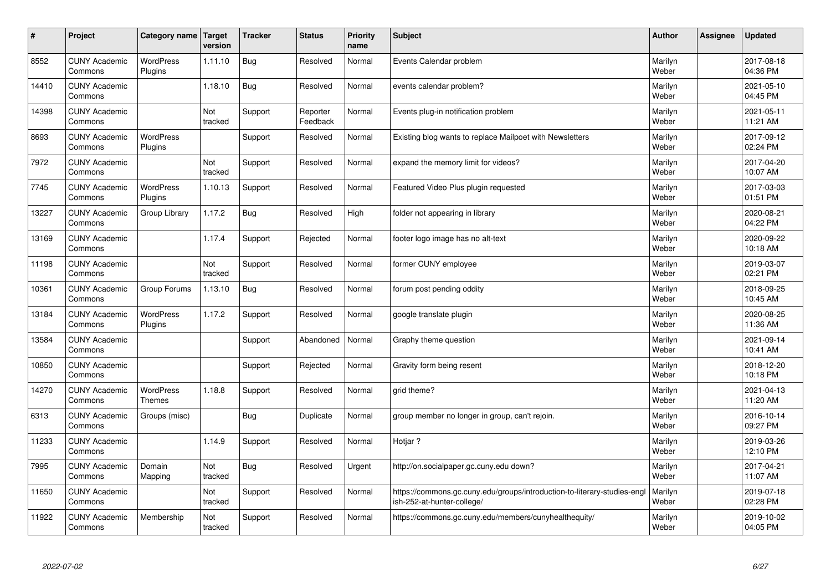| #     | Project                         | Category name               | Target<br>version | <b>Tracker</b> | <b>Status</b>        | <b>Priority</b><br>name | <b>Subject</b>                                                                                         | <b>Author</b>    | Assignee | <b>Updated</b>         |
|-------|---------------------------------|-----------------------------|-------------------|----------------|----------------------|-------------------------|--------------------------------------------------------------------------------------------------------|------------------|----------|------------------------|
| 8552  | <b>CUNY Academic</b><br>Commons | <b>WordPress</b><br>Plugins | 1.11.10           | <b>Bug</b>     | Resolved             | Normal                  | Events Calendar problem                                                                                | Marilyn<br>Weber |          | 2017-08-18<br>04:36 PM |
| 14410 | <b>CUNY Academic</b><br>Commons |                             | 1.18.10           | <b>Bug</b>     | Resolved             | Normal                  | events calendar problem?                                                                               | Marilyn<br>Weber |          | 2021-05-10<br>04:45 PM |
| 14398 | <b>CUNY Academic</b><br>Commons |                             | Not<br>tracked    | Support        | Reporter<br>Feedback | Normal                  | Events plug-in notification problem                                                                    | Marilyn<br>Weber |          | 2021-05-11<br>11:21 AM |
| 8693  | <b>CUNY Academic</b><br>Commons | <b>WordPress</b><br>Plugins |                   | Support        | Resolved             | Normal                  | Existing blog wants to replace Mailpoet with Newsletters                                               | Marilyn<br>Weber |          | 2017-09-12<br>02:24 PM |
| 7972  | <b>CUNY Academic</b><br>Commons |                             | Not<br>tracked    | Support        | Resolved             | Normal                  | expand the memory limit for videos?                                                                    | Marilyn<br>Weber |          | 2017-04-20<br>10:07 AM |
| 7745  | <b>CUNY Academic</b><br>Commons | <b>WordPress</b><br>Plugins | 1.10.13           | Support        | Resolved             | Normal                  | Featured Video Plus plugin requested                                                                   | Marilyn<br>Weber |          | 2017-03-03<br>01:51 PM |
| 13227 | <b>CUNY Academic</b><br>Commons | Group Library               | 1.17.2            | Bug            | Resolved             | High                    | folder not appearing in library                                                                        | Marilyn<br>Weber |          | 2020-08-21<br>04:22 PM |
| 13169 | <b>CUNY Academic</b><br>Commons |                             | 1.17.4            | Support        | Rejected             | Normal                  | footer logo image has no alt-text                                                                      | Marilyn<br>Weber |          | 2020-09-22<br>10:18 AM |
| 11198 | <b>CUNY Academic</b><br>Commons |                             | Not<br>tracked    | Support        | Resolved             | Normal                  | former CUNY employee                                                                                   | Marilyn<br>Weber |          | 2019-03-07<br>02:21 PM |
| 10361 | <b>CUNY Academic</b><br>Commons | Group Forums                | 1.13.10           | Bug            | Resolved             | Normal                  | forum post pending oddity                                                                              | Marilyn<br>Weber |          | 2018-09-25<br>10:45 AM |
| 13184 | <b>CUNY Academic</b><br>Commons | <b>WordPress</b><br>Plugins | 1.17.2            | Support        | Resolved             | Normal                  | google translate plugin                                                                                | Marilyn<br>Weber |          | 2020-08-25<br>11:36 AM |
| 13584 | <b>CUNY Academic</b><br>Commons |                             |                   | Support        | Abandoned            | Normal                  | Graphy theme question                                                                                  | Marilyn<br>Weber |          | 2021-09-14<br>10:41 AM |
| 10850 | <b>CUNY Academic</b><br>Commons |                             |                   | Support        | Rejected             | Normal                  | Gravity form being resent                                                                              | Marilyn<br>Weber |          | 2018-12-20<br>10:18 PM |
| 14270 | <b>CUNY Academic</b><br>Commons | <b>WordPress</b><br>Themes  | 1.18.8            | Support        | Resolved             | Normal                  | grid theme?                                                                                            | Marilyn<br>Weber |          | 2021-04-13<br>11:20 AM |
| 6313  | <b>CUNY Academic</b><br>Commons | Groups (misc)               |                   | <b>Bug</b>     | Duplicate            | Normal                  | group member no longer in group, can't rejoin.                                                         | Marilyn<br>Weber |          | 2016-10-14<br>09:27 PM |
| 11233 | <b>CUNY Academic</b><br>Commons |                             | 1.14.9            | Support        | Resolved             | Normal                  | Hotjar?                                                                                                | Marilyn<br>Weber |          | 2019-03-26<br>12:10 PM |
| 7995  | <b>CUNY Academic</b><br>Commons | Domain<br>Mapping           | Not<br>tracked    | <b>Bug</b>     | Resolved             | Urgent                  | http://on.socialpaper.gc.cuny.edu down?                                                                | Marilyn<br>Weber |          | 2017-04-21<br>11:07 AM |
| 11650 | <b>CUNY Academic</b><br>Commons |                             | Not<br>tracked    | Support        | Resolved             | Normal                  | https://commons.gc.cuny.edu/groups/introduction-to-literary-studies-engl<br>ish-252-at-hunter-college/ | Marilyn<br>Weber |          | 2019-07-18<br>02:28 PM |
| 11922 | <b>CUNY Academic</b><br>Commons | Membership                  | Not<br>tracked    | Support        | Resolved             | Normal                  | https://commons.gc.cuny.edu/members/cunyhealthequity/                                                  | Marilyn<br>Weber |          | 2019-10-02<br>04:05 PM |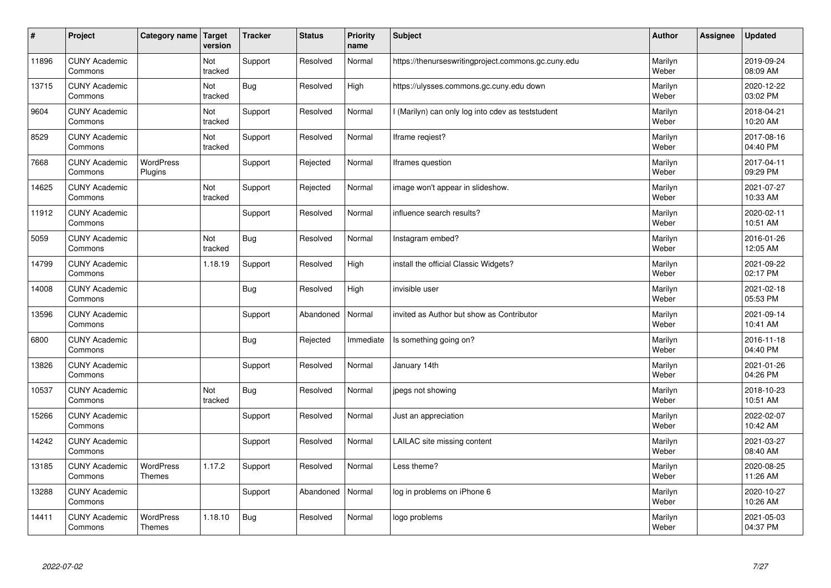| $\sharp$ | Project                         | Category name                     | Target<br>version | <b>Tracker</b> | <b>Status</b> | <b>Priority</b><br>name | <b>Subject</b>                                      | <b>Author</b>    | Assignee | <b>Updated</b>         |
|----------|---------------------------------|-----------------------------------|-------------------|----------------|---------------|-------------------------|-----------------------------------------------------|------------------|----------|------------------------|
| 11896    | <b>CUNY Academic</b><br>Commons |                                   | Not<br>tracked    | Support        | Resolved      | Normal                  | https://thenurseswritingproject.commons.gc.cuny.edu | Marilyn<br>Weber |          | 2019-09-24<br>08:09 AM |
| 13715    | <b>CUNY Academic</b><br>Commons |                                   | Not<br>tracked    | <b>Bug</b>     | Resolved      | High                    | https://ulysses.commons.gc.cuny.edu down            | Marilyn<br>Weber |          | 2020-12-22<br>03:02 PM |
| 9604     | <b>CUNY Academic</b><br>Commons |                                   | Not<br>tracked    | Support        | Resolved      | Normal                  | I (Marilyn) can only log into cdev as teststudent   | Marilyn<br>Weber |          | 2018-04-21<br>10:20 AM |
| 8529     | <b>CUNY Academic</b><br>Commons |                                   | Not<br>tracked    | Support        | Resolved      | Normal                  | Iframe reqiest?                                     | Marilyn<br>Weber |          | 2017-08-16<br>04:40 PM |
| 7668     | <b>CUNY Academic</b><br>Commons | <b>WordPress</b><br>Plugins       |                   | Support        | Rejected      | Normal                  | Iframes question                                    | Marilyn<br>Weber |          | 2017-04-11<br>09:29 PM |
| 14625    | <b>CUNY Academic</b><br>Commons |                                   | Not<br>tracked    | Support        | Rejected      | Normal                  | image won't appear in slideshow.                    | Marilyn<br>Weber |          | 2021-07-27<br>10:33 AM |
| 11912    | <b>CUNY Academic</b><br>Commons |                                   |                   | Support        | Resolved      | Normal                  | influence search results?                           | Marilyn<br>Weber |          | 2020-02-11<br>10:51 AM |
| 5059     | <b>CUNY Academic</b><br>Commons |                                   | Not<br>tracked    | <b>Bug</b>     | Resolved      | Normal                  | Instagram embed?                                    | Marilyn<br>Weber |          | 2016-01-26<br>12:05 AM |
| 14799    | <b>CUNY Academic</b><br>Commons |                                   | 1.18.19           | Support        | Resolved      | High                    | install the official Classic Widgets?               | Marilyn<br>Weber |          | 2021-09-22<br>02:17 PM |
| 14008    | <b>CUNY Academic</b><br>Commons |                                   |                   | Bug            | Resolved      | High                    | invisible user                                      | Marilyn<br>Weber |          | 2021-02-18<br>05:53 PM |
| 13596    | <b>CUNY Academic</b><br>Commons |                                   |                   | Support        | Abandoned     | Normal                  | invited as Author but show as Contributor           | Marilyn<br>Weber |          | 2021-09-14<br>10:41 AM |
| 6800     | <b>CUNY Academic</b><br>Commons |                                   |                   | <b>Bug</b>     | Rejected      | Immediate               | Is something going on?                              | Marilyn<br>Weber |          | 2016-11-18<br>04:40 PM |
| 13826    | <b>CUNY Academic</b><br>Commons |                                   |                   | Support        | Resolved      | Normal                  | January 14th                                        | Marilyn<br>Weber |          | 2021-01-26<br>04:26 PM |
| 10537    | <b>CUNY Academic</b><br>Commons |                                   | Not<br>tracked    | <b>Bug</b>     | Resolved      | Normal                  | jpegs not showing                                   | Marilyn<br>Weber |          | 2018-10-23<br>10:51 AM |
| 15266    | <b>CUNY Academic</b><br>Commons |                                   |                   | Support        | Resolved      | Normal                  | Just an appreciation                                | Marilyn<br>Weber |          | 2022-02-07<br>10:42 AM |
| 14242    | <b>CUNY Academic</b><br>Commons |                                   |                   | Support        | Resolved      | Normal                  | LAILAC site missing content                         | Marilyn<br>Weber |          | 2021-03-27<br>08:40 AM |
| 13185    | <b>CUNY Academic</b><br>Commons | <b>WordPress</b><br>Themes        | 1.17.2            | Support        | Resolved      | Normal                  | Less theme?                                         | Marilyn<br>Weber |          | 2020-08-25<br>11:26 AM |
| 13288    | <b>CUNY Academic</b><br>Commons |                                   |                   | Support        | Abandoned     | Normal                  | log in problems on iPhone 6                         | Marilyn<br>Weber |          | 2020-10-27<br>10:26 AM |
| 14411    | <b>CUNY Academic</b><br>Commons | <b>WordPress</b><br><b>Themes</b> | 1.18.10           | <b>Bug</b>     | Resolved      | Normal                  | logo problems                                       | Marilyn<br>Weber |          | 2021-05-03<br>04:37 PM |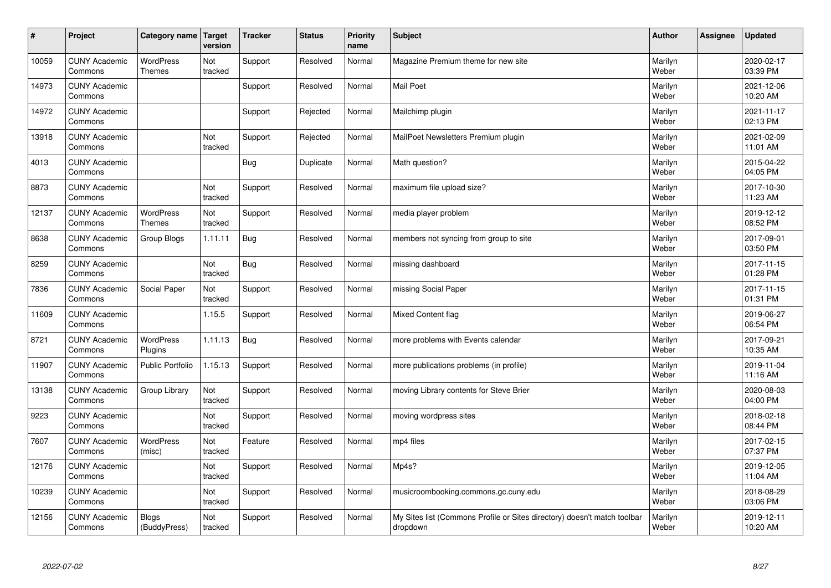| $\sharp$ | Project                         | Category name   Target            | version        | <b>Tracker</b> | <b>Status</b> | <b>Priority</b><br>name | <b>Subject</b>                                                                       | <b>Author</b>    | Assignee | Updated                |
|----------|---------------------------------|-----------------------------------|----------------|----------------|---------------|-------------------------|--------------------------------------------------------------------------------------|------------------|----------|------------------------|
| 10059    | <b>CUNY Academic</b><br>Commons | <b>WordPress</b><br><b>Themes</b> | Not<br>tracked | Support        | Resolved      | Normal                  | Magazine Premium theme for new site                                                  | Marilyn<br>Weber |          | 2020-02-17<br>03:39 PM |
| 14973    | <b>CUNY Academic</b><br>Commons |                                   |                | Support        | Resolved      | Normal                  | <b>Mail Poet</b>                                                                     | Marilyn<br>Weber |          | 2021-12-06<br>10:20 AM |
| 14972    | <b>CUNY Academic</b><br>Commons |                                   |                | Support        | Rejected      | Normal                  | Mailchimp plugin                                                                     | Marilyn<br>Weber |          | 2021-11-17<br>02:13 PM |
| 13918    | <b>CUNY Academic</b><br>Commons |                                   | Not<br>tracked | Support        | Rejected      | Normal                  | MailPoet Newsletters Premium plugin                                                  | Marilyn<br>Weber |          | 2021-02-09<br>11:01 AM |
| 4013     | <b>CUNY Academic</b><br>Commons |                                   |                | Bug            | Duplicate     | Normal                  | Math question?                                                                       | Marilyn<br>Weber |          | 2015-04-22<br>04:05 PM |
| 8873     | <b>CUNY Academic</b><br>Commons |                                   | Not<br>tracked | Support        | Resolved      | Normal                  | maximum file upload size?                                                            | Marilyn<br>Weber |          | 2017-10-30<br>11:23 AM |
| 12137    | <b>CUNY Academic</b><br>Commons | <b>WordPress</b><br><b>Themes</b> | Not<br>tracked | Support        | Resolved      | Normal                  | media player problem                                                                 | Marilyn<br>Weber |          | 2019-12-12<br>08:52 PM |
| 8638     | <b>CUNY Academic</b><br>Commons | Group Blogs                       | 1.11.11        | Bug            | Resolved      | Normal                  | members not syncing from group to site                                               | Marilyn<br>Weber |          | 2017-09-01<br>03:50 PM |
| 8259     | <b>CUNY Academic</b><br>Commons |                                   | Not<br>tracked | Bug            | Resolved      | Normal                  | missing dashboard                                                                    | Marilyn<br>Weber |          | 2017-11-15<br>01:28 PM |
| 7836     | <b>CUNY Academic</b><br>Commons | Social Paper                      | Not<br>tracked | Support        | Resolved      | Normal                  | missing Social Paper                                                                 | Marilyn<br>Weber |          | 2017-11-15<br>01:31 PM |
| 11609    | <b>CUNY Academic</b><br>Commons |                                   | 1.15.5         | Support        | Resolved      | Normal                  | Mixed Content flag                                                                   | Marilyn<br>Weber |          | 2019-06-27<br>06:54 PM |
| 8721     | <b>CUNY Academic</b><br>Commons | <b>WordPress</b><br>Plugins       | 1.11.13        | <b>Bug</b>     | Resolved      | Normal                  | more problems with Events calendar                                                   | Marilyn<br>Weber |          | 2017-09-21<br>10:35 AM |
| 11907    | <b>CUNY Academic</b><br>Commons | <b>Public Portfolio</b>           | 1.15.13        | Support        | Resolved      | Normal                  | more publications problems (in profile)                                              | Marilyn<br>Weber |          | 2019-11-04<br>11:16 AM |
| 13138    | <b>CUNY Academic</b><br>Commons | Group Library                     | Not<br>tracked | Support        | Resolved      | Normal                  | moving Library contents for Steve Brier                                              | Marilyn<br>Weber |          | 2020-08-03<br>04:00 PM |
| 9223     | <b>CUNY Academic</b><br>Commons |                                   | Not<br>tracked | Support        | Resolved      | Normal                  | moving wordpress sites                                                               | Marilyn<br>Weber |          | 2018-02-18<br>08:44 PM |
| 7607     | <b>CUNY Academic</b><br>Commons | WordPress<br>(misc)               | Not<br>tracked | Feature        | Resolved      | Normal                  | mp4 files                                                                            | Marilyn<br>Weber |          | 2017-02-15<br>07:37 PM |
| 12176    | <b>CUNY Academic</b><br>Commons |                                   | Not<br>tracked | Support        | Resolved      | Normal                  | Mp4s?                                                                                | Marilyn<br>Weber |          | 2019-12-05<br>11:04 AM |
| 10239    | <b>CUNY Academic</b><br>Commons |                                   | Not<br>tracked | Support        | Resolved      | Normal                  | musicroombooking.commons.gc.cuny.edu                                                 | Marilyn<br>Weber |          | 2018-08-29<br>03:06 PM |
| 12156    | <b>CUNY Academic</b><br>Commons | <b>Blogs</b><br>(BuddyPress)      | Not<br>tracked | Support        | Resolved      | Normal                  | My Sites list (Commons Profile or Sites directory) doesn't match toolbar<br>dropdown | Marilyn<br>Weber |          | 2019-12-11<br>10:20 AM |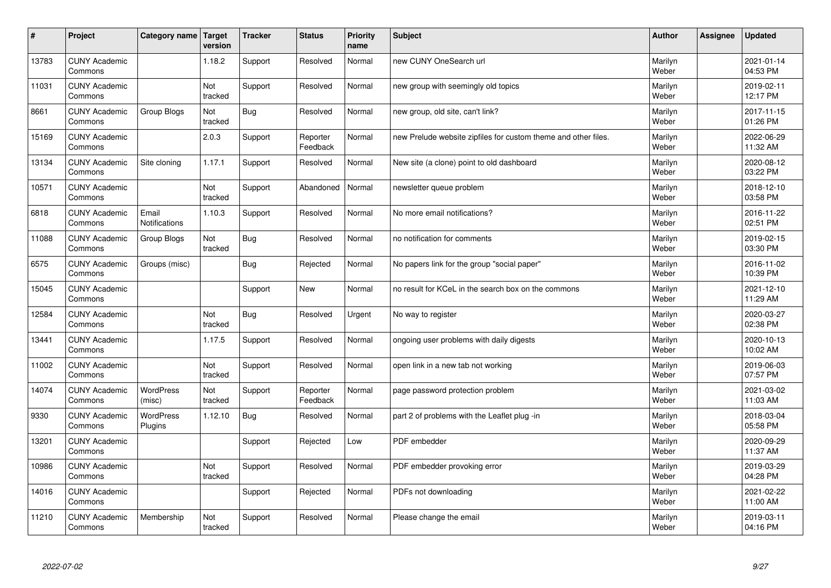| $\sharp$ | Project                         | Category name              | Target<br>version | <b>Tracker</b> | <b>Status</b>        | <b>Priority</b><br>name | <b>Subject</b>                                                 | <b>Author</b>    | Assignee | <b>Updated</b>         |
|----------|---------------------------------|----------------------------|-------------------|----------------|----------------------|-------------------------|----------------------------------------------------------------|------------------|----------|------------------------|
| 13783    | <b>CUNY Academic</b><br>Commons |                            | 1.18.2            | Support        | Resolved             | Normal                  | new CUNY OneSearch url                                         | Marilyn<br>Weber |          | 2021-01-14<br>04:53 PM |
| 11031    | <b>CUNY Academic</b><br>Commons |                            | Not<br>tracked    | Support        | Resolved             | Normal                  | new group with seemingly old topics                            | Marilyn<br>Weber |          | 2019-02-11<br>12:17 PM |
| 8661     | <b>CUNY Academic</b><br>Commons | Group Blogs                | Not<br>tracked    | <b>Bug</b>     | Resolved             | Normal                  | new group, old site, can't link?                               | Marilyn<br>Weber |          | 2017-11-15<br>01:26 PM |
| 15169    | <b>CUNY Academic</b><br>Commons |                            | 2.0.3             | Support        | Reporter<br>Feedback | Normal                  | new Prelude website zipfiles for custom theme and other files. | Marilyn<br>Weber |          | 2022-06-29<br>11:32 AM |
| 13134    | <b>CUNY Academic</b><br>Commons | Site cloning               | 1.17.1            | Support        | Resolved             | Normal                  | New site (a clone) point to old dashboard                      | Marilyn<br>Weber |          | 2020-08-12<br>03:22 PM |
| 10571    | <b>CUNY Academic</b><br>Commons |                            | Not<br>tracked    | Support        | Abandoned            | Normal                  | newsletter queue problem                                       | Marilyn<br>Weber |          | 2018-12-10<br>03:58 PM |
| 6818     | <b>CUNY Academic</b><br>Commons | Email<br>Notifications     | 1.10.3            | Support        | Resolved             | Normal                  | No more email notifications?                                   | Marilyn<br>Weber |          | 2016-11-22<br>02:51 PM |
| 11088    | <b>CUNY Academic</b><br>Commons | Group Blogs                | Not<br>tracked    | <b>Bug</b>     | Resolved             | Normal                  | no notification for comments                                   | Marilyn<br>Weber |          | 2019-02-15<br>03:30 PM |
| 6575     | <b>CUNY Academic</b><br>Commons | Groups (misc)              |                   | <b>Bug</b>     | Rejected             | Normal                  | No papers link for the group "social paper"                    | Marilyn<br>Weber |          | 2016-11-02<br>10:39 PM |
| 15045    | <b>CUNY Academic</b><br>Commons |                            |                   | Support        | <b>New</b>           | Normal                  | no result for KCeL in the search box on the commons            | Marilyn<br>Weber |          | 2021-12-10<br>11:29 AM |
| 12584    | <b>CUNY Academic</b><br>Commons |                            | Not<br>tracked    | <b>Bug</b>     | Resolved             | Urgent                  | No way to register                                             | Marilyn<br>Weber |          | 2020-03-27<br>02:38 PM |
| 13441    | <b>CUNY Academic</b><br>Commons |                            | 1.17.5            | Support        | Resolved             | Normal                  | ongoing user problems with daily digests                       | Marilyn<br>Weber |          | 2020-10-13<br>10:02 AM |
| 11002    | <b>CUNY Academic</b><br>Commons |                            | Not<br>tracked    | Support        | Resolved             | Normal                  | open link in a new tab not working                             | Marilyn<br>Weber |          | 2019-06-03<br>07:57 PM |
| 14074    | <b>CUNY Academic</b><br>Commons | <b>WordPress</b><br>(misc) | Not<br>tracked    | Support        | Reporter<br>Feedback | Normal                  | page password protection problem                               | Marilyn<br>Weber |          | 2021-03-02<br>11:03 AM |
| 9330     | <b>CUNY Academic</b><br>Commons | WordPress<br>Plugins       | 1.12.10           | <b>Bug</b>     | Resolved             | Normal                  | part 2 of problems with the Leaflet plug -in                   | Marilyn<br>Weber |          | 2018-03-04<br>05:58 PM |
| 13201    | <b>CUNY Academic</b><br>Commons |                            |                   | Support        | Rejected             | Low                     | PDF embedder                                                   | Marilyn<br>Weber |          | 2020-09-29<br>11:37 AM |
| 10986    | <b>CUNY Academic</b><br>Commons |                            | Not<br>tracked    | Support        | Resolved             | Normal                  | PDF embedder provoking error                                   | Marilyn<br>Weber |          | 2019-03-29<br>04:28 PM |
| 14016    | <b>CUNY Academic</b><br>Commons |                            |                   | Support        | Rejected             | Normal                  | PDFs not downloading                                           | Marilyn<br>Weber |          | 2021-02-22<br>11:00 AM |
| 11210    | <b>CUNY Academic</b><br>Commons | Membership                 | Not<br>tracked    | Support        | Resolved             | Normal                  | Please change the email                                        | Marilyn<br>Weber |          | 2019-03-11<br>04:16 PM |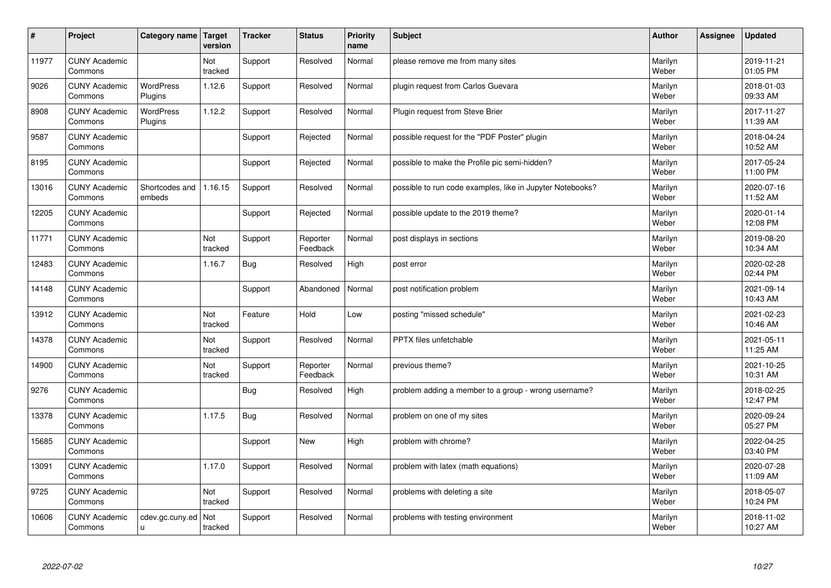| #     | Project                         | Category name   Target      | version        | <b>Tracker</b> | <b>Status</b>        | <b>Priority</b><br>name | <b>Subject</b>                                            | <b>Author</b>    | Assignee | <b>Updated</b>         |
|-------|---------------------------------|-----------------------------|----------------|----------------|----------------------|-------------------------|-----------------------------------------------------------|------------------|----------|------------------------|
| 11977 | <b>CUNY Academic</b><br>Commons |                             | Not<br>tracked | Support        | Resolved             | Normal                  | please remove me from many sites                          | Marilyn<br>Weber |          | 2019-11-21<br>01:05 PM |
| 9026  | <b>CUNY Academic</b><br>Commons | <b>WordPress</b><br>Plugins | 1.12.6         | Support        | Resolved             | Normal                  | plugin request from Carlos Guevara                        | Marilyn<br>Weber |          | 2018-01-03<br>09:33 AM |
| 8908  | <b>CUNY Academic</b><br>Commons | <b>WordPress</b><br>Plugins | 1.12.2         | Support        | Resolved             | Normal                  | Plugin request from Steve Brier                           | Marilyn<br>Weber |          | 2017-11-27<br>11:39 AM |
| 9587  | <b>CUNY Academic</b><br>Commons |                             |                | Support        | Rejected             | Normal                  | possible request for the "PDF Poster" plugin              | Marilyn<br>Weber |          | 2018-04-24<br>10:52 AM |
| 8195  | <b>CUNY Academic</b><br>Commons |                             |                | Support        | Rejected             | Normal                  | possible to make the Profile pic semi-hidden?             | Marilyn<br>Weber |          | 2017-05-24<br>11:00 PM |
| 13016 | <b>CUNY Academic</b><br>Commons | Shortcodes and<br>embeds    | 1.16.15        | Support        | Resolved             | Normal                  | possible to run code examples, like in Jupyter Notebooks? | Marilyn<br>Weber |          | 2020-07-16<br>11:52 AM |
| 12205 | <b>CUNY Academic</b><br>Commons |                             |                | Support        | Rejected             | Normal                  | possible update to the 2019 theme?                        | Marilyn<br>Weber |          | 2020-01-14<br>12:08 PM |
| 11771 | <b>CUNY Academic</b><br>Commons |                             | Not<br>tracked | Support        | Reporter<br>Feedback | Normal                  | post displays in sections                                 | Marilyn<br>Weber |          | 2019-08-20<br>10:34 AM |
| 12483 | <b>CUNY Academic</b><br>Commons |                             | 1.16.7         | <b>Bug</b>     | Resolved             | High                    | post error                                                | Marilyn<br>Weber |          | 2020-02-28<br>02:44 PM |
| 14148 | <b>CUNY Academic</b><br>Commons |                             |                | Support        | Abandoned            | Normal                  | post notification problem                                 | Marilyn<br>Weber |          | 2021-09-14<br>10:43 AM |
| 13912 | <b>CUNY Academic</b><br>Commons |                             | Not<br>tracked | Feature        | Hold                 | Low                     | posting "missed schedule"                                 | Marilyn<br>Weber |          | 2021-02-23<br>10:46 AM |
| 14378 | <b>CUNY Academic</b><br>Commons |                             | Not<br>tracked | Support        | Resolved             | Normal                  | PPTX files unfetchable                                    | Marilyn<br>Weber |          | 2021-05-11<br>11:25 AM |
| 14900 | <b>CUNY Academic</b><br>Commons |                             | Not<br>tracked | Support        | Reporter<br>Feedback | Normal                  | previous theme?                                           | Marilyn<br>Weber |          | 2021-10-25<br>10:31 AM |
| 9276  | <b>CUNY Academic</b><br>Commons |                             |                | <b>Bug</b>     | Resolved             | High                    | problem adding a member to a group - wrong username?      | Marilyn<br>Weber |          | 2018-02-25<br>12:47 PM |
| 13378 | <b>CUNY Academic</b><br>Commons |                             | 1.17.5         | Bug            | Resolved             | Normal                  | problem on one of my sites                                | Marilyn<br>Weber |          | 2020-09-24<br>05:27 PM |
| 15685 | <b>CUNY Academic</b><br>Commons |                             |                | Support        | <b>New</b>           | High                    | problem with chrome?                                      | Marilyn<br>Weber |          | 2022-04-25<br>03:40 PM |
| 13091 | <b>CUNY Academic</b><br>Commons |                             | 1.17.0         | Support        | Resolved             | Normal                  | problem with latex (math equations)                       | Marilyn<br>Weber |          | 2020-07-28<br>11:09 AM |
| 9725  | <b>CUNY Academic</b><br>Commons |                             | Not<br>tracked | Support        | Resolved             | Normal                  | problems with deleting a site                             | Marilyn<br>Weber |          | 2018-05-07<br>10:24 PM |
| 10606 | <b>CUNY Academic</b><br>Commons | cdev.gc.cuny.ed<br>ū        | Not<br>tracked | Support        | Resolved             | Normal                  | problems with testing environment                         | Marilyn<br>Weber |          | 2018-11-02<br>10:27 AM |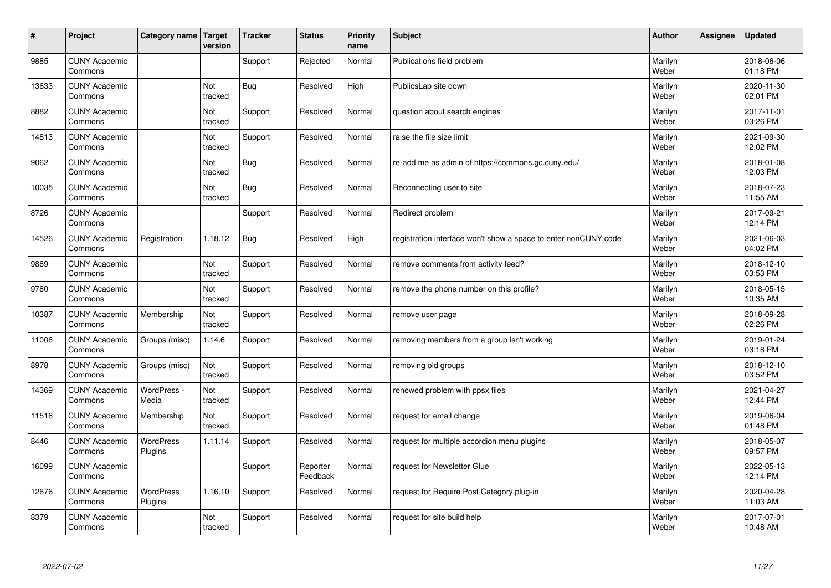| #     | Project                         | Category name   Target | version        | <b>Tracker</b> | <b>Status</b>        | <b>Priority</b><br>name | <b>Subject</b>                                                  | <b>Author</b>    | Assignee | <b>Updated</b>         |
|-------|---------------------------------|------------------------|----------------|----------------|----------------------|-------------------------|-----------------------------------------------------------------|------------------|----------|------------------------|
| 9885  | <b>CUNY Academic</b><br>Commons |                        |                | Support        | Rejected             | Normal                  | Publications field problem                                      | Marilyn<br>Weber |          | 2018-06-06<br>01:18 PM |
| 13633 | <b>CUNY Academic</b><br>Commons |                        | Not<br>tracked | Bug            | Resolved             | High                    | PublicsLab site down                                            | Marilyn<br>Weber |          | 2020-11-30<br>02:01 PM |
| 8882  | <b>CUNY Academic</b><br>Commons |                        | Not<br>tracked | Support        | Resolved             | Normal                  | question about search engines                                   | Marilyn<br>Weber |          | 2017-11-01<br>03:26 PM |
| 14813 | <b>CUNY Academic</b><br>Commons |                        | Not<br>tracked | Support        | Resolved             | Normal                  | raise the file size limit                                       | Marilyn<br>Weber |          | 2021-09-30<br>12:02 PM |
| 9062  | <b>CUNY Academic</b><br>Commons |                        | Not<br>tracked | Bug            | Resolved             | Normal                  | re-add me as admin of https://commons.gc.cuny.edu/              | Marilyn<br>Weber |          | 2018-01-08<br>12:03 PM |
| 10035 | <b>CUNY Academic</b><br>Commons |                        | Not<br>tracked | <b>Bug</b>     | Resolved             | Normal                  | Reconnecting user to site                                       | Marilyn<br>Weber |          | 2018-07-23<br>11:55 AM |
| 8726  | <b>CUNY Academic</b><br>Commons |                        |                | Support        | Resolved             | Normal                  | Redirect problem                                                | Marilyn<br>Weber |          | 2017-09-21<br>12:14 PM |
| 14526 | <b>CUNY Academic</b><br>Commons | Registration           | 1.18.12        | Bug            | Resolved             | High                    | registration interface won't show a space to enter nonCUNY code | Marilyn<br>Weber |          | 2021-06-03<br>04:02 PM |
| 9889  | <b>CUNY Academic</b><br>Commons |                        | Not<br>tracked | Support        | Resolved             | Normal                  | remove comments from activity feed?                             | Marilyn<br>Weber |          | 2018-12-10<br>03:53 PM |
| 9780  | <b>CUNY Academic</b><br>Commons |                        | Not<br>tracked | Support        | Resolved             | Normal                  | remove the phone number on this profile?                        | Marilyn<br>Weber |          | 2018-05-15<br>10:35 AM |
| 10387 | <b>CUNY Academic</b><br>Commons | Membership             | Not<br>tracked | Support        | Resolved             | Normal                  | remove user page                                                | Marilyn<br>Weber |          | 2018-09-28<br>02:26 PM |
| 11006 | <b>CUNY Academic</b><br>Commons | Groups (misc)          | 1.14.6         | Support        | Resolved             | Normal                  | removing members from a group isn't working                     | Marilyn<br>Weber |          | 2019-01-24<br>03:18 PM |
| 8978  | <b>CUNY Academic</b><br>Commons | Groups (misc)          | Not<br>tracked | Support        | Resolved             | Normal                  | removing old groups                                             | Marilyn<br>Weber |          | 2018-12-10<br>03:52 PM |
| 14369 | <b>CUNY Academic</b><br>Commons | WordPress -<br>Media   | Not<br>tracked | Support        | Resolved             | Normal                  | renewed problem with ppsx files                                 | Marilyn<br>Weber |          | 2021-04-27<br>12:44 PM |
| 11516 | <b>CUNY Academic</b><br>Commons | Membership             | Not<br>tracked | Support        | Resolved             | Normal                  | request for email change                                        | Marilyn<br>Weber |          | 2019-06-04<br>01:48 PM |
| 8446  | <b>CUNY Academic</b><br>Commons | WordPress<br>Plugins   | 1.11.14        | Support        | Resolved             | Normal                  | request for multiple accordion menu plugins                     | Marilyn<br>Weber |          | 2018-05-07<br>09:57 PM |
| 16099 | <b>CUNY Academic</b><br>Commons |                        |                | Support        | Reporter<br>Feedback | Normal                  | request for Newsletter Glue                                     | Marilyn<br>Weber |          | 2022-05-13<br>12:14 PM |
| 12676 | <b>CUNY Academic</b><br>Commons | WordPress<br>Plugins   | 1.16.10        | Support        | Resolved             | Normal                  | request for Require Post Category plug-in                       | Marilyn<br>Weber |          | 2020-04-28<br>11:03 AM |
| 8379  | <b>CUNY Academic</b><br>Commons |                        | Not<br>tracked | Support        | Resolved             | Normal                  | request for site build help                                     | Marilyn<br>Weber |          | 2017-07-01<br>10:48 AM |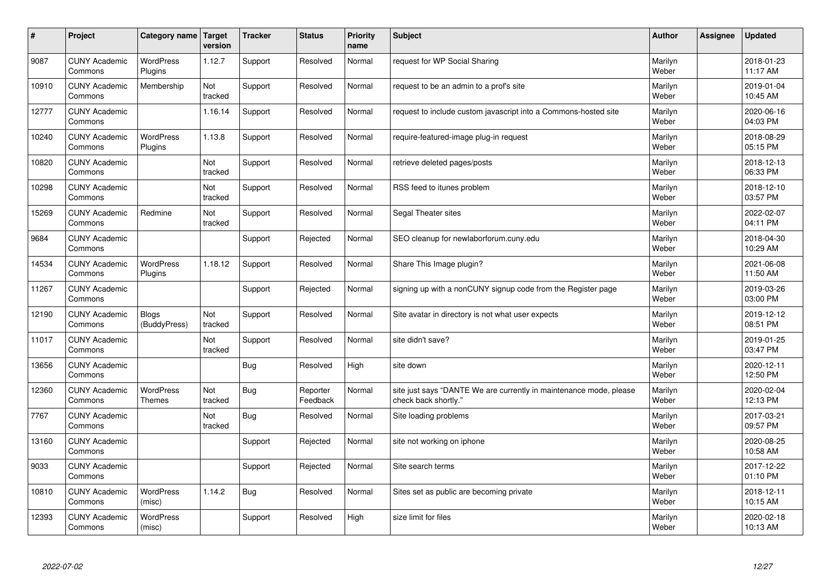| #     | Project                         | Category name Target              | version               | <b>Tracker</b> | <b>Status</b>        | Priority<br>name | <b>Subject</b>                                                                             | <b>Author</b>    | Assignee | <b>Updated</b>         |
|-------|---------------------------------|-----------------------------------|-----------------------|----------------|----------------------|------------------|--------------------------------------------------------------------------------------------|------------------|----------|------------------------|
| 9087  | <b>CUNY Academic</b><br>Commons | WordPress<br>Plugins              | 1.12.7                | Support        | Resolved             | Normal           | request for WP Social Sharing                                                              | Marilyn<br>Weber |          | 2018-01-23<br>11:17 AM |
| 10910 | <b>CUNY Academic</b><br>Commons | Membership                        | Not<br>tracked        | Support        | Resolved             | Normal           | request to be an admin to a prof's site                                                    | Marilyn<br>Weber |          | 2019-01-04<br>10:45 AM |
| 12777 | <b>CUNY Academic</b><br>Commons |                                   | 1.16.14               | Support        | Resolved             | Normal           | request to include custom javascript into a Commons-hosted site                            | Marilyn<br>Weber |          | 2020-06-16<br>04:03 PM |
| 10240 | <b>CUNY Academic</b><br>Commons | <b>WordPress</b><br>Plugins       | 1.13.8                | Support        | Resolved             | Normal           | require-featured-image plug-in request                                                     | Marilyn<br>Weber |          | 2018-08-29<br>05:15 PM |
| 10820 | <b>CUNY Academic</b><br>Commons |                                   | Not<br>tracked        | Support        | Resolved             | Normal           | retrieve deleted pages/posts                                                               | Marilyn<br>Weber |          | 2018-12-13<br>06:33 PM |
| 10298 | <b>CUNY Academic</b><br>Commons |                                   | <b>Not</b><br>tracked | Support        | Resolved             | Normal           | RSS feed to itunes problem                                                                 | Marilyn<br>Weber |          | 2018-12-10<br>03:57 PM |
| 15269 | <b>CUNY Academic</b><br>Commons | Redmine                           | Not<br>tracked        | Support        | Resolved             | Normal           | Segal Theater sites                                                                        | Marilyn<br>Weber |          | 2022-02-07<br>04:11 PM |
| 9684  | <b>CUNY Academic</b><br>Commons |                                   |                       | Support        | Rejected             | Normal           | SEO cleanup for newlaborforum.cuny.edu                                                     | Marilyn<br>Weber |          | 2018-04-30<br>10:29 AM |
| 14534 | <b>CUNY Academic</b><br>Commons | <b>WordPress</b><br>Plugins       | 1.18.12               | Support        | Resolved             | Normal           | Share This Image plugin?                                                                   | Marilyn<br>Weber |          | 2021-06-08<br>11:50 AM |
| 11267 | <b>CUNY Academic</b><br>Commons |                                   |                       | Support        | Rejected             | Normal           | signing up with a nonCUNY signup code from the Register page                               | Marilyn<br>Weber |          | 2019-03-26<br>03:00 PM |
| 12190 | <b>CUNY Academic</b><br>Commons | <b>Blogs</b><br>(BuddyPress)      | Not<br>tracked        | Support        | Resolved             | Normal           | Site avatar in directory is not what user expects                                          | Marilyn<br>Weber |          | 2019-12-12<br>08:51 PM |
| 11017 | <b>CUNY Academic</b><br>Commons |                                   | Not<br>tracked        | Support        | Resolved             | Normal           | site didn't save?                                                                          | Marilyn<br>Weber |          | 2019-01-25<br>03:47 PM |
| 13656 | <b>CUNY Academic</b><br>Commons |                                   |                       | <b>Bug</b>     | Resolved             | High             | site down                                                                                  | Marilyn<br>Weber |          | 2020-12-11<br>12:50 PM |
| 12360 | <b>CUNY Academic</b><br>Commons | <b>WordPress</b><br><b>Themes</b> | Not<br>tracked        | <b>Bug</b>     | Reporter<br>Feedback | Normal           | site just says "DANTE We are currently in maintenance mode, please<br>check back shortly." | Marilyn<br>Weber |          | 2020-02-04<br>12:13 PM |
| 7767  | <b>CUNY Academic</b><br>Commons |                                   | Not<br>tracked        | <b>Bug</b>     | Resolved             | Normal           | Site loading problems                                                                      | Marilyn<br>Weber |          | 2017-03-21<br>09:57 PM |
| 13160 | <b>CUNY Academic</b><br>Commons |                                   |                       | Support        | Rejected             | Normal           | site not working on iphone                                                                 | Marilyn<br>Weber |          | 2020-08-25<br>10:58 AM |
| 9033  | <b>CUNY Academic</b><br>Commons |                                   |                       | Support        | Rejected             | Normal           | Site search terms                                                                          | Marilyn<br>Weber |          | 2017-12-22<br>01:10 PM |
| 10810 | <b>CUNY Academic</b><br>Commons | <b>WordPress</b><br>(misc)        | 1.14.2                | <b>Bug</b>     | Resolved             | Normal           | Sites set as public are becoming private                                                   | Marilyn<br>Weber |          | 2018-12-11<br>10:15 AM |
| 12393 | <b>CUNY Academic</b><br>Commons | <b>WordPress</b><br>(misc)        |                       | Support        | Resolved             | High             | size limit for files                                                                       | Marilyn<br>Weber |          | 2020-02-18<br>10:13 AM |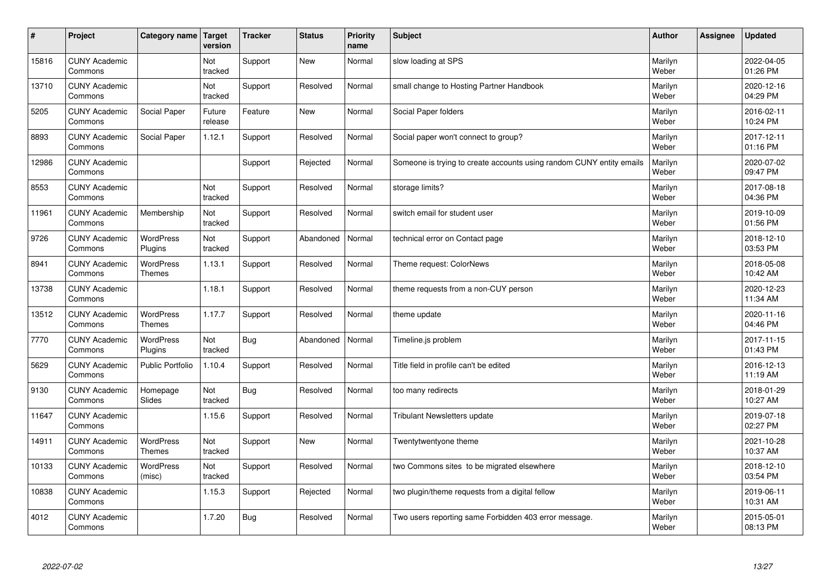| #     | Project                         | Category name   Target            | version           | <b>Tracker</b> | <b>Status</b> | <b>Priority</b><br>name | <b>Subject</b>                                                       | <b>Author</b>    | Assignee | <b>Updated</b>         |
|-------|---------------------------------|-----------------------------------|-------------------|----------------|---------------|-------------------------|----------------------------------------------------------------------|------------------|----------|------------------------|
| 15816 | <b>CUNY Academic</b><br>Commons |                                   | Not<br>tracked    | Support        | <b>New</b>    | Normal                  | slow loading at SPS                                                  | Marilyn<br>Weber |          | 2022-04-05<br>01:26 PM |
| 13710 | <b>CUNY Academic</b><br>Commons |                                   | Not<br>tracked    | Support        | Resolved      | Normal                  | small change to Hosting Partner Handbook                             | Marilyn<br>Weber |          | 2020-12-16<br>04:29 PM |
| 5205  | <b>CUNY Academic</b><br>Commons | Social Paper                      | Future<br>release | Feature        | <b>New</b>    | Normal                  | Social Paper folders                                                 | Marilyn<br>Weber |          | 2016-02-11<br>10:24 PM |
| 8893  | <b>CUNY Academic</b><br>Commons | Social Paper                      | 1.12.1            | Support        | Resolved      | Normal                  | Social paper won't connect to group?                                 | Marilyn<br>Weber |          | 2017-12-11<br>01:16 PM |
| 12986 | <b>CUNY Academic</b><br>Commons |                                   |                   | Support        | Rejected      | Normal                  | Someone is trying to create accounts using random CUNY entity emails | Marilyn<br>Weber |          | 2020-07-02<br>09:47 PM |
| 8553  | <b>CUNY Academic</b><br>Commons |                                   | Not<br>tracked    | Support        | Resolved      | Normal                  | storage limits?                                                      | Marilyn<br>Weber |          | 2017-08-18<br>04:36 PM |
| 11961 | <b>CUNY Academic</b><br>Commons | Membership                        | Not<br>tracked    | Support        | Resolved      | Normal                  | switch email for student user                                        | Marilyn<br>Weber |          | 2019-10-09<br>01:56 PM |
| 9726  | <b>CUNY Academic</b><br>Commons | WordPress<br>Plugins              | Not<br>tracked    | Support        | Abandoned     | Normal                  | technical error on Contact page                                      | Marilyn<br>Weber |          | 2018-12-10<br>03:53 PM |
| 8941  | <b>CUNY Academic</b><br>Commons | WordPress<br><b>Themes</b>        | 1.13.1            | Support        | Resolved      | Normal                  | Theme request: ColorNews                                             | Marilyn<br>Weber |          | 2018-05-08<br>10:42 AM |
| 13738 | <b>CUNY Academic</b><br>Commons |                                   | 1.18.1            | Support        | Resolved      | Normal                  | theme requests from a non-CUY person                                 | Marilyn<br>Weber |          | 2020-12-23<br>11:34 AM |
| 13512 | <b>CUNY Academic</b><br>Commons | <b>WordPress</b><br><b>Themes</b> | 1.17.7            | Support        | Resolved      | Normal                  | theme update                                                         | Marilyn<br>Weber |          | 2020-11-16<br>04:46 PM |
| 7770  | <b>CUNY Academic</b><br>Commons | WordPress<br>Plugins              | Not<br>tracked    | <b>Bug</b>     | Abandoned     | Normal                  | Timeline.js problem                                                  | Marilyn<br>Weber |          | 2017-11-15<br>01:43 PM |
| 5629  | <b>CUNY Academic</b><br>Commons | <b>Public Portfolio</b>           | 1.10.4            | Support        | Resolved      | Normal                  | Title field in profile can't be edited                               | Marilyn<br>Weber |          | 2016-12-13<br>11:19 AM |
| 9130  | <b>CUNY Academic</b><br>Commons | Homepage<br>Slides                | Not<br>tracked    | Bug            | Resolved      | Normal                  | too many redirects                                                   | Marilyn<br>Weber |          | 2018-01-29<br>10:27 AM |
| 11647 | <b>CUNY Academic</b><br>Commons |                                   | 1.15.6            | Support        | Resolved      | Normal                  | <b>Tribulant Newsletters update</b>                                  | Marilyn<br>Weber |          | 2019-07-18<br>02:27 PM |
| 14911 | <b>CUNY Academic</b><br>Commons | WordPress<br><b>Themes</b>        | Not<br>tracked    | Support        | <b>New</b>    | Normal                  | Twentytwentyone theme                                                | Marilyn<br>Weber |          | 2021-10-28<br>10:37 AM |
| 10133 | <b>CUNY Academic</b><br>Commons | WordPress<br>(misc)               | Not<br>tracked    | Support        | Resolved      | Normal                  | two Commons sites to be migrated elsewhere                           | Marilyn<br>Weber |          | 2018-12-10<br>03:54 PM |
| 10838 | <b>CUNY Academic</b><br>Commons |                                   | 1.15.3            | Support        | Rejected      | Normal                  | two plugin/theme requests from a digital fellow                      | Marilyn<br>Weber |          | 2019-06-11<br>10:31 AM |
| 4012  | <b>CUNY Academic</b><br>Commons |                                   | 1.7.20            | Bug            | Resolved      | Normal                  | Two users reporting same Forbidden 403 error message.                | Marilyn<br>Weber |          | 2015-05-01<br>08:13 PM |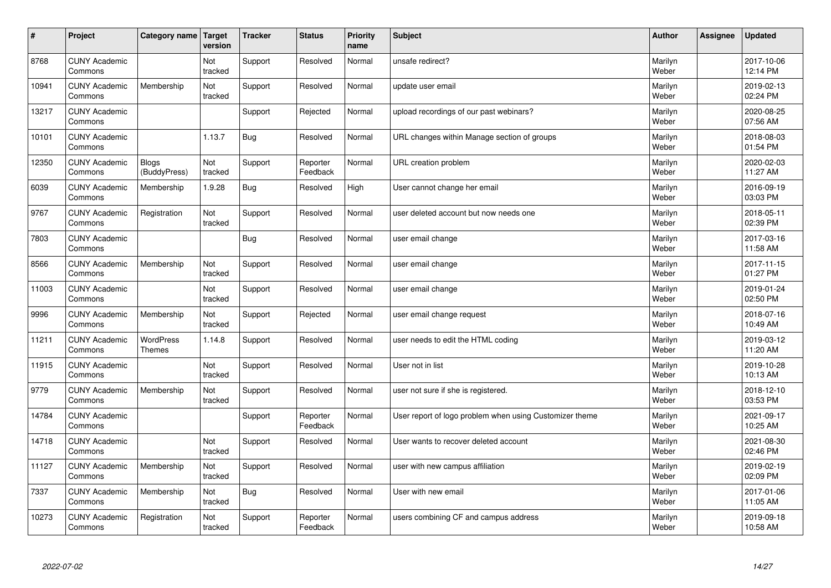| $\vert$ # | Project                         | Category name                     | Target<br>version | <b>Tracker</b> | <b>Status</b>        | <b>Priority</b><br>name | <b>Subject</b>                                          | <b>Author</b>    | <b>Assignee</b> | <b>Updated</b>         |
|-----------|---------------------------------|-----------------------------------|-------------------|----------------|----------------------|-------------------------|---------------------------------------------------------|------------------|-----------------|------------------------|
| 8768      | <b>CUNY Academic</b><br>Commons |                                   | Not<br>tracked    | Support        | Resolved             | Normal                  | unsafe redirect?                                        | Marilyn<br>Weber |                 | 2017-10-06<br>12:14 PM |
| 10941     | <b>CUNY Academic</b><br>Commons | Membership                        | Not<br>tracked    | Support        | Resolved             | Normal                  | update user email                                       | Marilyn<br>Weber |                 | 2019-02-13<br>02:24 PM |
| 13217     | <b>CUNY Academic</b><br>Commons |                                   |                   | Support        | Rejected             | Normal                  | upload recordings of our past webinars?                 | Marilyn<br>Weber |                 | 2020-08-25<br>07:56 AM |
| 10101     | <b>CUNY Academic</b><br>Commons |                                   | 1.13.7            | <b>Bug</b>     | Resolved             | Normal                  | URL changes within Manage section of groups             | Marilyn<br>Weber |                 | 2018-08-03<br>01:54 PM |
| 12350     | <b>CUNY Academic</b><br>Commons | <b>Blogs</b><br>(BuddyPress)      | Not<br>tracked    | Support        | Reporter<br>Feedback | Normal                  | URL creation problem                                    | Marilyn<br>Weber |                 | 2020-02-03<br>11:27 AM |
| 6039      | <b>CUNY Academic</b><br>Commons | Membership                        | 1.9.28            | <b>Bug</b>     | Resolved             | High                    | User cannot change her email                            | Marilyn<br>Weber |                 | 2016-09-19<br>03:03 PM |
| 9767      | <b>CUNY Academic</b><br>Commons | Registration                      | Not<br>tracked    | Support        | Resolved             | Normal                  | user deleted account but now needs one                  | Marilyn<br>Weber |                 | 2018-05-11<br>02:39 PM |
| 7803      | <b>CUNY Academic</b><br>Commons |                                   |                   | <b>Bug</b>     | Resolved             | Normal                  | user email change                                       | Marilyn<br>Weber |                 | 2017-03-16<br>11:58 AM |
| 8566      | <b>CUNY Academic</b><br>Commons | Membership                        | Not<br>tracked    | Support        | Resolved             | Normal                  | user email change                                       | Marilyn<br>Weber |                 | 2017-11-15<br>01:27 PM |
| 11003     | <b>CUNY Academic</b><br>Commons |                                   | Not<br>tracked    | Support        | Resolved             | Normal                  | user email change                                       | Marilyn<br>Weber |                 | 2019-01-24<br>02:50 PM |
| 9996      | <b>CUNY Academic</b><br>Commons | Membership                        | Not<br>tracked    | Support        | Rejected             | Normal                  | user email change request                               | Marilyn<br>Weber |                 | 2018-07-16<br>10:49 AM |
| 11211     | <b>CUNY Academic</b><br>Commons | <b>WordPress</b><br><b>Themes</b> | 1.14.8            | Support        | Resolved             | Normal                  | user needs to edit the HTML coding                      | Marilyn<br>Weber |                 | 2019-03-12<br>11:20 AM |
| 11915     | <b>CUNY Academic</b><br>Commons |                                   | Not<br>tracked    | Support        | Resolved             | Normal                  | User not in list                                        | Marilyn<br>Weber |                 | 2019-10-28<br>10:13 AM |
| 9779      | <b>CUNY Academic</b><br>Commons | Membership                        | Not<br>tracked    | Support        | Resolved             | Normal                  | user not sure if she is registered.                     | Marilyn<br>Weber |                 | 2018-12-10<br>03:53 PM |
| 14784     | <b>CUNY Academic</b><br>Commons |                                   |                   | Support        | Reporter<br>Feedback | Normal                  | User report of logo problem when using Customizer theme | Marilyn<br>Weber |                 | 2021-09-17<br>10:25 AM |
| 14718     | <b>CUNY Academic</b><br>Commons |                                   | Not<br>tracked    | Support        | Resolved             | Normal                  | User wants to recover deleted account                   | Marilyn<br>Weber |                 | 2021-08-30<br>02:46 PM |
| 11127     | <b>CUNY Academic</b><br>Commons | Membership                        | Not<br>tracked    | Support        | Resolved             | Normal                  | user with new campus affiliation                        | Marilyn<br>Weber |                 | 2019-02-19<br>02:09 PM |
| 7337      | <b>CUNY Academic</b><br>Commons | Membership                        | Not<br>tracked    | <b>Bug</b>     | Resolved             | Normal                  | User with new email                                     | Marilyn<br>Weber |                 | 2017-01-06<br>11:05 AM |
| 10273     | <b>CUNY Academic</b><br>Commons | Registration                      | Not<br>tracked    | Support        | Reporter<br>Feedback | Normal                  | users combining CF and campus address                   | Marilyn<br>Weber |                 | 2019-09-18<br>10:58 AM |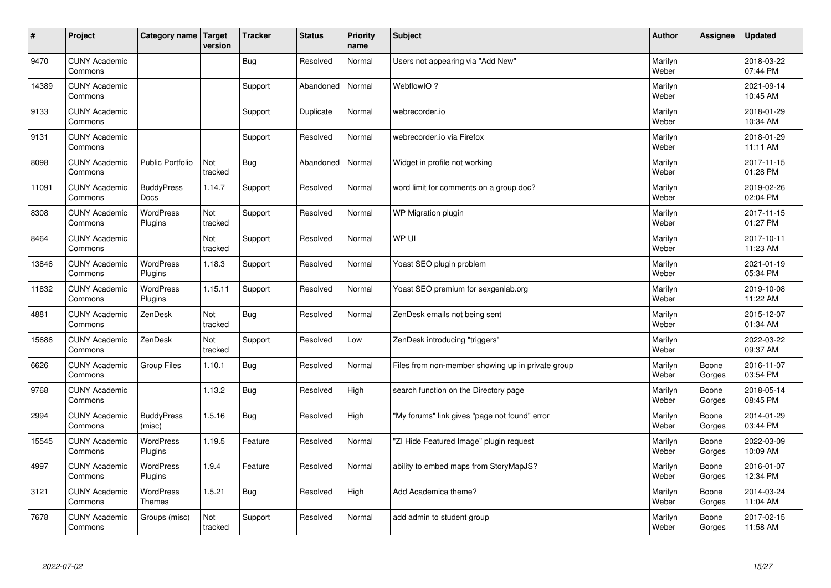| #     | Project                         | Category name   Target      | version        | <b>Tracker</b> | <b>Status</b> | <b>Priority</b><br>name | <b>Subject</b>                                    | <b>Author</b>    | Assignee        | <b>Updated</b>         |
|-------|---------------------------------|-----------------------------|----------------|----------------|---------------|-------------------------|---------------------------------------------------|------------------|-----------------|------------------------|
| 9470  | <b>CUNY Academic</b><br>Commons |                             |                | <b>Bug</b>     | Resolved      | Normal                  | Users not appearing via "Add New"                 | Marilyn<br>Weber |                 | 2018-03-22<br>07:44 PM |
| 14389 | <b>CUNY Academic</b><br>Commons |                             |                | Support        | Abandoned     | Normal                  | WebflowIO?                                        | Marilyn<br>Weber |                 | 2021-09-14<br>10:45 AM |
| 9133  | <b>CUNY Academic</b><br>Commons |                             |                | Support        | Duplicate     | Normal                  | webrecorder.io                                    | Marilyn<br>Weber |                 | 2018-01-29<br>10:34 AM |
| 9131  | <b>CUNY Academic</b><br>Commons |                             |                | Support        | Resolved      | Normal                  | webrecorder.io via Firefox                        | Marilyn<br>Weber |                 | 2018-01-29<br>11:11 AM |
| 8098  | <b>CUNY Academic</b><br>Commons | <b>Public Portfolio</b>     | Not<br>tracked | <b>Bug</b>     | Abandoned     | Normal                  | Widget in profile not working                     | Marilyn<br>Weber |                 | 2017-11-15<br>01:28 PM |
| 11091 | <b>CUNY Academic</b><br>Commons | <b>BuddyPress</b><br>Docs   | 1.14.7         | Support        | Resolved      | Normal                  | word limit for comments on a group doc?           | Marilyn<br>Weber |                 | 2019-02-26<br>02:04 PM |
| 8308  | <b>CUNY Academic</b><br>Commons | WordPress<br>Plugins        | Not<br>tracked | Support        | Resolved      | Normal                  | WP Migration plugin                               | Marilyn<br>Weber |                 | 2017-11-15<br>01:27 PM |
| 8464  | <b>CUNY Academic</b><br>Commons |                             | Not<br>tracked | Support        | Resolved      | Normal                  | WP UI                                             | Marilyn<br>Weber |                 | 2017-10-11<br>11:23 AM |
| 13846 | <b>CUNY Academic</b><br>Commons | <b>WordPress</b><br>Plugins | 1.18.3         | Support        | Resolved      | Normal                  | Yoast SEO plugin problem                          | Marilyn<br>Weber |                 | 2021-01-19<br>05:34 PM |
| 11832 | <b>CUNY Academic</b><br>Commons | WordPress<br>Plugins        | 1.15.11        | Support        | Resolved      | Normal                  | Yoast SEO premium for sexgenlab.org               | Marilyn<br>Weber |                 | 2019-10-08<br>11:22 AM |
| 4881  | <b>CUNY Academic</b><br>Commons | ZenDesk                     | Not<br>tracked | Bug            | Resolved      | Normal                  | ZenDesk emails not being sent                     | Marilyn<br>Weber |                 | 2015-12-07<br>01:34 AM |
| 15686 | <b>CUNY Academic</b><br>Commons | ZenDesk                     | Not<br>tracked | Support        | Resolved      | Low                     | ZenDesk introducing "triggers"                    | Marilyn<br>Weber |                 | 2022-03-22<br>09:37 AM |
| 6626  | <b>CUNY Academic</b><br>Commons | <b>Group Files</b>          | 1.10.1         | Bug            | Resolved      | Normal                  | Files from non-member showing up in private group | Marilyn<br>Weber | Boone<br>Gorges | 2016-11-07<br>03:54 PM |
| 9768  | <b>CUNY Academic</b><br>Commons |                             | 1.13.2         | <b>Bug</b>     | Resolved      | High                    | search function on the Directory page             | Marilyn<br>Weber | Boone<br>Gorges | 2018-05-14<br>08:45 PM |
| 2994  | <b>CUNY Academic</b><br>Commons | <b>BuddyPress</b><br>(misc) | 1.5.16         | <b>Bug</b>     | Resolved      | High                    | "My forums" link gives "page not found" error     | Marilyn<br>Weber | Boone<br>Gorges | 2014-01-29<br>03:44 PM |
| 15545 | <b>CUNY Academic</b><br>Commons | WordPress<br>Plugins        | 1.19.5         | Feature        | Resolved      | Normal                  | "ZI Hide Featured Image" plugin request           | Marilyn<br>Weber | Boone<br>Gorges | 2022-03-09<br>10:09 AM |
| 4997  | <b>CUNY Academic</b><br>Commons | WordPress<br>Plugins        | 1.9.4          | Feature        | Resolved      | Normal                  | ability to embed maps from StoryMapJS?            | Marilyn<br>Weber | Boone<br>Gorges | 2016-01-07<br>12:34 PM |
| 3121  | <b>CUNY Academic</b><br>Commons | WordPress<br><b>Themes</b>  | 1.5.21         | <b>Bug</b>     | Resolved      | High                    | Add Academica theme?                              | Marilyn<br>Weber | Boone<br>Gorges | 2014-03-24<br>11:04 AM |
| 7678  | <b>CUNY Academic</b><br>Commons | Groups (misc)               | Not<br>tracked | Support        | Resolved      | Normal                  | add admin to student group                        | Marilyn<br>Weber | Boone<br>Gorges | 2017-02-15<br>11:58 AM |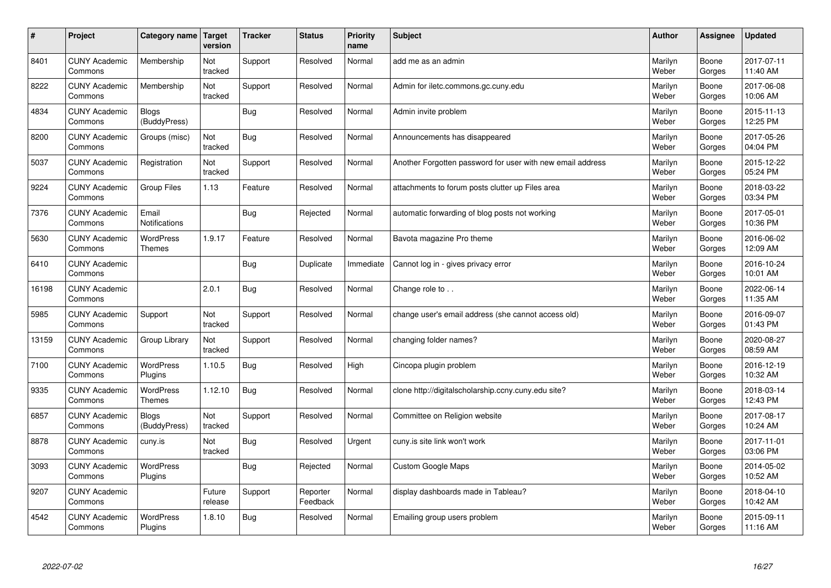| $\sharp$ | Project                         | Category name                     | Target<br>version | <b>Tracker</b> | <b>Status</b>        | <b>Priority</b><br>name | <b>Subject</b>                                             | <b>Author</b>    | Assignee        | <b>Updated</b>         |
|----------|---------------------------------|-----------------------------------|-------------------|----------------|----------------------|-------------------------|------------------------------------------------------------|------------------|-----------------|------------------------|
| 8401     | <b>CUNY Academic</b><br>Commons | Membership                        | Not<br>tracked    | Support        | Resolved             | Normal                  | add me as an admin                                         | Marilyn<br>Weber | Boone<br>Gorges | 2017-07-11<br>11:40 AM |
| 8222     | <b>CUNY Academic</b><br>Commons | Membership                        | Not<br>tracked    | Support        | Resolved             | Normal                  | Admin for iletc.commons.gc.cuny.edu                        | Marilyn<br>Weber | Boone<br>Gorges | 2017-06-08<br>10:06 AM |
| 4834     | <b>CUNY Academic</b><br>Commons | <b>Blogs</b><br>(BuddyPress)      |                   | Bug            | Resolved             | Normal                  | Admin invite problem                                       | Marilyn<br>Weber | Boone<br>Gorges | 2015-11-13<br>12:25 PM |
| 8200     | <b>CUNY Academic</b><br>Commons | Groups (misc)                     | Not<br>tracked    | Bug            | Resolved             | Normal                  | Announcements has disappeared                              | Marilyn<br>Weber | Boone<br>Gorges | 2017-05-26<br>04:04 PM |
| 5037     | <b>CUNY Academic</b><br>Commons | Registration                      | Not<br>tracked    | Support        | Resolved             | Normal                  | Another Forgotten password for user with new email address | Marilyn<br>Weber | Boone<br>Gorges | 2015-12-22<br>05:24 PM |
| 9224     | <b>CUNY Academic</b><br>Commons | Group Files                       | 1.13              | Feature        | Resolved             | Normal                  | attachments to forum posts clutter up Files area           | Marilyn<br>Weber | Boone<br>Gorges | 2018-03-22<br>03:34 PM |
| 7376     | <b>CUNY Academic</b><br>Commons | Email<br><b>Notifications</b>     |                   | Bug            | Rejected             | Normal                  | automatic forwarding of blog posts not working             | Marilyn<br>Weber | Boone<br>Gorges | 2017-05-01<br>10:36 PM |
| 5630     | <b>CUNY Academic</b><br>Commons | <b>WordPress</b><br><b>Themes</b> | 1.9.17            | Feature        | Resolved             | Normal                  | Bavota magazine Pro theme                                  | Marilyn<br>Weber | Boone<br>Gorges | 2016-06-02<br>12:09 AM |
| 6410     | <b>CUNY Academic</b><br>Commons |                                   |                   | Bug            | Duplicate            | Immediate               | Cannot log in - gives privacy error                        | Marilyn<br>Weber | Boone<br>Gorges | 2016-10-24<br>10:01 AM |
| 16198    | <b>CUNY Academic</b><br>Commons |                                   | 2.0.1             | Bug            | Resolved             | Normal                  | Change role to                                             | Marilyn<br>Weber | Boone<br>Gorges | 2022-06-14<br>11:35 AM |
| 5985     | <b>CUNY Academic</b><br>Commons | Support                           | Not<br>tracked    | Support        | Resolved             | Normal                  | change user's email address (she cannot access old)        | Marilyn<br>Weber | Boone<br>Gorges | 2016-09-07<br>01:43 PM |
| 13159    | <b>CUNY Academic</b><br>Commons | Group Library                     | Not<br>tracked    | Support        | Resolved             | Normal                  | changing folder names?                                     | Marilyn<br>Weber | Boone<br>Gorges | 2020-08-27<br>08:59 AM |
| 7100     | <b>CUNY Academic</b><br>Commons | WordPress<br>Plugins              | 1.10.5            | Bug            | Resolved             | High                    | Cincopa plugin problem                                     | Marilyn<br>Weber | Boone<br>Gorges | 2016-12-19<br>10:32 AM |
| 9335     | <b>CUNY Academic</b><br>Commons | <b>WordPress</b><br><b>Themes</b> | 1.12.10           | Bug            | Resolved             | Normal                  | clone http://digitalscholarship.ccny.cuny.edu site?        | Marilyn<br>Weber | Boone<br>Gorges | 2018-03-14<br>12:43 PM |
| 6857     | <b>CUNY Academic</b><br>Commons | <b>Blogs</b><br>(BuddyPress)      | Not<br>tracked    | Support        | Resolved             | Normal                  | Committee on Religion website                              | Marilyn<br>Weber | Boone<br>Gorges | 2017-08-17<br>10:24 AM |
| 8878     | <b>CUNY Academic</b><br>Commons | cuny.is                           | Not<br>tracked    | Bug            | Resolved             | Urgent                  | cuny.is site link won't work                               | Marilyn<br>Weber | Boone<br>Gorges | 2017-11-01<br>03:06 PM |
| 3093     | <b>CUNY Academic</b><br>Commons | WordPress<br>Plugins              |                   | Bug            | Rejected             | Normal                  | <b>Custom Google Maps</b>                                  | Marilyn<br>Weber | Boone<br>Gorges | 2014-05-02<br>10:52 AM |
| 9207     | <b>CUNY Academic</b><br>Commons |                                   | Future<br>release | Support        | Reporter<br>Feedback | Normal                  | display dashboards made in Tableau?                        | Marilyn<br>Weber | Boone<br>Gorges | 2018-04-10<br>10:42 AM |
| 4542     | <b>CUNY Academic</b><br>Commons | <b>WordPress</b><br>Plugins       | 1.8.10            | Bug            | Resolved             | Normal                  | Emailing group users problem                               | Marilyn<br>Weber | Boone<br>Gorges | 2015-09-11<br>11:16 AM |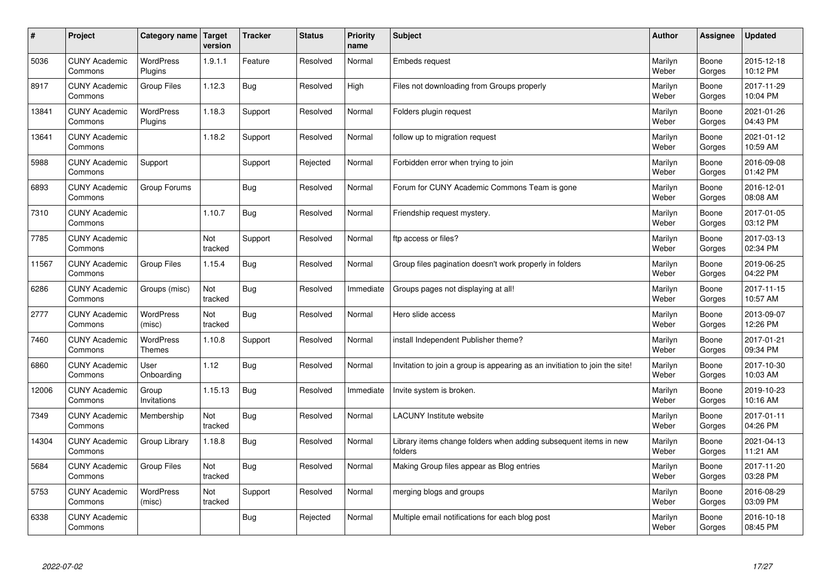| $\sharp$ | Project                         | Category name   Target            | version        | <b>Tracker</b> | <b>Status</b> | <b>Priority</b><br>name | <b>Subject</b>                                                              | <b>Author</b>    | Assignee        | <b>Updated</b>         |
|----------|---------------------------------|-----------------------------------|----------------|----------------|---------------|-------------------------|-----------------------------------------------------------------------------|------------------|-----------------|------------------------|
| 5036     | <b>CUNY Academic</b><br>Commons | <b>WordPress</b><br>Plugins       | 1.9.1.1        | Feature        | Resolved      | Normal                  | <b>Embeds request</b>                                                       | Marilyn<br>Weber | Boone<br>Gorges | 2015-12-18<br>10:12 PM |
| 8917     | <b>CUNY Academic</b><br>Commons | Group Files                       | 1.12.3         | Bug            | Resolved      | High                    | Files not downloading from Groups properly                                  | Marilyn<br>Weber | Boone<br>Gorges | 2017-11-29<br>10:04 PM |
| 13841    | <b>CUNY Academic</b><br>Commons | WordPress<br>Plugins              | 1.18.3         | Support        | Resolved      | Normal                  | Folders plugin request                                                      | Marilyn<br>Weber | Boone<br>Gorges | 2021-01-26<br>04:43 PM |
| 13641    | <b>CUNY Academic</b><br>Commons |                                   | 1.18.2         | Support        | Resolved      | Normal                  | follow up to migration request                                              | Marilyn<br>Weber | Boone<br>Gorges | 2021-01-12<br>10:59 AM |
| 5988     | <b>CUNY Academic</b><br>Commons | Support                           |                | Support        | Rejected      | Normal                  | Forbidden error when trying to join                                         | Marilyn<br>Weber | Boone<br>Gorges | 2016-09-08<br>01:42 PM |
| 6893     | <b>CUNY Academic</b><br>Commons | Group Forums                      |                | Bug            | Resolved      | Normal                  | Forum for CUNY Academic Commons Team is gone                                | Marilyn<br>Weber | Boone<br>Gorges | 2016-12-01<br>08:08 AM |
| 7310     | <b>CUNY Academic</b><br>Commons |                                   | 1.10.7         | <b>Bug</b>     | Resolved      | Normal                  | Friendship request mystery.                                                 | Marilyn<br>Weber | Boone<br>Gorges | 2017-01-05<br>03:12 PM |
| 7785     | <b>CUNY Academic</b><br>Commons |                                   | Not<br>tracked | Support        | Resolved      | Normal                  | ftp access or files?                                                        | Marilyn<br>Weber | Boone<br>Gorges | 2017-03-13<br>02:34 PM |
| 11567    | <b>CUNY Academic</b><br>Commons | Group Files                       | 1.15.4         | Bug            | Resolved      | Normal                  | Group files pagination doesn't work properly in folders                     | Marilyn<br>Weber | Boone<br>Gorges | 2019-06-25<br>04:22 PM |
| 6286     | <b>CUNY Academic</b><br>Commons | Groups (misc)                     | Not<br>tracked | Bug            | Resolved      | Immediate               | Groups pages not displaying at all!                                         | Marilyn<br>Weber | Boone<br>Gorges | 2017-11-15<br>10:57 AM |
| 2777     | <b>CUNY Academic</b><br>Commons | WordPress<br>(misc)               | Not<br>tracked | Bug            | Resolved      | Normal                  | Hero slide access                                                           | Marilyn<br>Weber | Boone<br>Gorges | 2013-09-07<br>12:26 PM |
| 7460     | <b>CUNY Academic</b><br>Commons | <b>WordPress</b><br><b>Themes</b> | 1.10.8         | Support        | Resolved      | Normal                  | install Independent Publisher theme?                                        | Marilyn<br>Weber | Boone<br>Gorges | 2017-01-21<br>09:34 PM |
| 6860     | <b>CUNY Academic</b><br>Commons | User<br>Onboarding                | 1.12           | Bug            | Resolved      | Normal                  | Invitation to join a group is appearing as an invitiation to join the site! | Marilyn<br>Weber | Boone<br>Gorges | 2017-10-30<br>10:03 AM |
| 12006    | <b>CUNY Academic</b><br>Commons | Group<br>Invitations              | 1.15.13        | Bug            | Resolved      | Immediate               | Invite system is broken.                                                    | Marilyn<br>Weber | Boone<br>Gorges | 2019-10-23<br>10:16 AM |
| 7349     | <b>CUNY Academic</b><br>Commons | Membership                        | Not<br>tracked | Bug            | Resolved      | Normal                  | <b>LACUNY Institute website</b>                                             | Marilyn<br>Weber | Boone<br>Gorges | 2017-01-11<br>04:26 PM |
| 14304    | <b>CUNY Academic</b><br>Commons | Group Library                     | 1.18.8         | Bug            | Resolved      | Normal                  | Library items change folders when adding subsequent items in new<br>folders | Marilyn<br>Weber | Boone<br>Gorges | 2021-04-13<br>11:21 AM |
| 5684     | <b>CUNY Academic</b><br>Commons | Group Files                       | Not<br>tracked | Bug            | Resolved      | Normal                  | Making Group files appear as Blog entries                                   | Marilyn<br>Weber | Boone<br>Gorges | 2017-11-20<br>03:28 PM |
| 5753     | <b>CUNY Academic</b><br>Commons | WordPress<br>(misc)               | Not<br>tracked | Support        | Resolved      | Normal                  | merging blogs and groups                                                    | Marilyn<br>Weber | Boone<br>Gorges | 2016-08-29<br>03:09 PM |
| 6338     | <b>CUNY Academic</b><br>Commons |                                   |                | Bug            | Rejected      | Normal                  | Multiple email notifications for each blog post                             | Marilyn<br>Weber | Boone<br>Gorges | 2016-10-18<br>08:45 PM |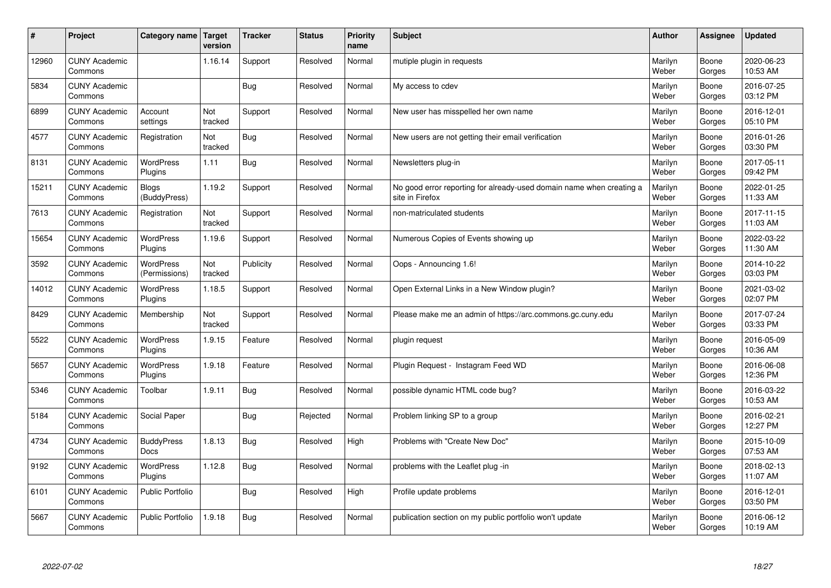| #     | Project                         | Category name   Target           | version        | <b>Tracker</b> | <b>Status</b> | <b>Priority</b><br>name | <b>Subject</b>                                                                          | <b>Author</b>    | Assignee        | <b>Updated</b>         |
|-------|---------------------------------|----------------------------------|----------------|----------------|---------------|-------------------------|-----------------------------------------------------------------------------------------|------------------|-----------------|------------------------|
| 12960 | <b>CUNY Academic</b><br>Commons |                                  | 1.16.14        | Support        | Resolved      | Normal                  | mutiple plugin in requests                                                              | Marilyn<br>Weber | Boone<br>Gorges | 2020-06-23<br>10:53 AM |
| 5834  | <b>CUNY Academic</b><br>Commons |                                  |                | Bug            | Resolved      | Normal                  | My access to cdev                                                                       | Marilyn<br>Weber | Boone<br>Gorges | 2016-07-25<br>03:12 PM |
| 6899  | <b>CUNY Academic</b><br>Commons | Account<br>settings              | Not<br>tracked | Support        | Resolved      | Normal                  | New user has misspelled her own name                                                    | Marilyn<br>Weber | Boone<br>Gorges | 2016-12-01<br>05:10 PM |
| 4577  | <b>CUNY Academic</b><br>Commons | Registration                     | Not<br>tracked | Bug            | Resolved      | Normal                  | New users are not getting their email verification                                      | Marilyn<br>Weber | Boone<br>Gorges | 2016-01-26<br>03:30 PM |
| 8131  | <b>CUNY Academic</b><br>Commons | <b>WordPress</b><br>Plugins      | 1.11           | Bug            | Resolved      | Normal                  | Newsletters plug-in                                                                     | Marilyn<br>Weber | Boone<br>Gorges | 2017-05-11<br>09:42 PM |
| 15211 | <b>CUNY Academic</b><br>Commons | <b>Blogs</b><br>(BuddyPress)     | 1.19.2         | Support        | Resolved      | Normal                  | No good error reporting for already-used domain name when creating a<br>site in Firefox | Marilyn<br>Weber | Boone<br>Gorges | 2022-01-25<br>11:33 AM |
| 7613  | <b>CUNY Academic</b><br>Commons | Registration                     | Not<br>tracked | Support        | Resolved      | Normal                  | non-matriculated students                                                               | Marilyn<br>Weber | Boone<br>Gorges | 2017-11-15<br>11:03 AM |
| 15654 | <b>CUNY Academic</b><br>Commons | <b>WordPress</b><br>Plugins      | 1.19.6         | Support        | Resolved      | Normal                  | Numerous Copies of Events showing up                                                    | Marilyn<br>Weber | Boone<br>Gorges | 2022-03-22<br>11:30 AM |
| 3592  | <b>CUNY Academic</b><br>Commons | WordPress<br>(Permissions)       | Not<br>tracked | Publicity      | Resolved      | Normal                  | Oops - Announcing 1.6!                                                                  | Marilyn<br>Weber | Boone<br>Gorges | 2014-10-22<br>03:03 PM |
| 14012 | <b>CUNY Academic</b><br>Commons | WordPress<br>Plugins             | 1.18.5         | Support        | Resolved      | Normal                  | Open External Links in a New Window plugin?                                             | Marilyn<br>Weber | Boone<br>Gorges | 2021-03-02<br>02:07 PM |
| 8429  | <b>CUNY Academic</b><br>Commons | Membership                       | Not<br>tracked | Support        | Resolved      | Normal                  | Please make me an admin of https://arc.commons.gc.cuny.edu                              | Marilyn<br>Weber | Boone<br>Gorges | 2017-07-24<br>03:33 PM |
| 5522  | <b>CUNY Academic</b><br>Commons | <b>WordPress</b><br>Plugins      | 1.9.15         | Feature        | Resolved      | Normal                  | plugin request                                                                          | Marilyn<br>Weber | Boone<br>Gorges | 2016-05-09<br>10:36 AM |
| 5657  | <b>CUNY Academic</b><br>Commons | WordPress<br>Plugins             | 1.9.18         | Feature        | Resolved      | Normal                  | Plugin Request - Instagram Feed WD                                                      | Marilyn<br>Weber | Boone<br>Gorges | 2016-06-08<br>12:36 PM |
| 5346  | <b>CUNY Academic</b><br>Commons | Toolbar                          | 1.9.11         | <b>Bug</b>     | Resolved      | Normal                  | possible dynamic HTML code bug?                                                         | Marilyn<br>Weber | Boone<br>Gorges | 2016-03-22<br>10:53 AM |
| 5184  | <b>CUNY Academic</b><br>Commons | Social Paper                     |                | Bug            | Rejected      | Normal                  | Problem linking SP to a group                                                           | Marilyn<br>Weber | Boone<br>Gorges | 2016-02-21<br>12:27 PM |
| 4734  | <b>CUNY Academic</b><br>Commons | <b>BuddyPress</b><br><b>Docs</b> | 1.8.13         | Bug            | Resolved      | High                    | Problems with "Create New Doc"                                                          | Marilyn<br>Weber | Boone<br>Gorges | 2015-10-09<br>07:53 AM |
| 9192  | <b>CUNY Academic</b><br>Commons | WordPress<br>Plugins             | 1.12.8         | Bug            | Resolved      | Normal                  | problems with the Leaflet plug -in                                                      | Marilyn<br>Weber | Boone<br>Gorges | 2018-02-13<br>11:07 AM |
| 6101  | <b>CUNY Academic</b><br>Commons | Public Portfolio                 |                | Bug            | Resolved      | High                    | Profile update problems                                                                 | Marilyn<br>Weber | Boone<br>Gorges | 2016-12-01<br>03:50 PM |
| 5667  | <b>CUNY Academic</b><br>Commons | <b>Public Portfolio</b>          | 1.9.18         | Bug            | Resolved      | Normal                  | publication section on my public portfolio won't update                                 | Marilyn<br>Weber | Boone<br>Gorges | 2016-06-12<br>10:19 AM |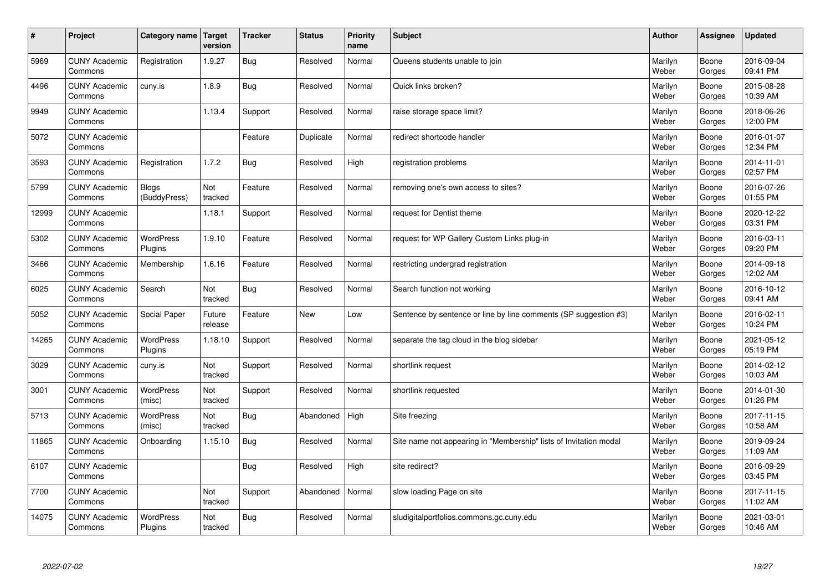| #     | Project                         | Category name   Target       | version           | <b>Tracker</b> | <b>Status</b> | <b>Priority</b><br>name | <b>Subject</b>                                                    | <b>Author</b>    | Assignee        | <b>Updated</b>         |
|-------|---------------------------------|------------------------------|-------------------|----------------|---------------|-------------------------|-------------------------------------------------------------------|------------------|-----------------|------------------------|
| 5969  | <b>CUNY Academic</b><br>Commons | Registration                 | 1.9.27            | Bug            | Resolved      | Normal                  | Queens students unable to join                                    | Marilyn<br>Weber | Boone<br>Gorges | 2016-09-04<br>09:41 PM |
| 4496  | <b>CUNY Academic</b><br>Commons | cuny.is                      | 1.8.9             | Bug            | Resolved      | Normal                  | Quick links broken?                                               | Marilyn<br>Weber | Boone<br>Gorges | 2015-08-28<br>10:39 AM |
| 9949  | <b>CUNY Academic</b><br>Commons |                              | 1.13.4            | Support        | Resolved      | Normal                  | raise storage space limit?                                        | Marilyn<br>Weber | Boone<br>Gorges | 2018-06-26<br>12:00 PM |
| 5072  | <b>CUNY Academic</b><br>Commons |                              |                   | Feature        | Duplicate     | Normal                  | redirect shortcode handler                                        | Marilyn<br>Weber | Boone<br>Gorges | 2016-01-07<br>12:34 PM |
| 3593  | <b>CUNY Academic</b><br>Commons | Registration                 | 1.7.2             | Bug            | Resolved      | High                    | registration problems                                             | Marilyn<br>Weber | Boone<br>Gorges | 2014-11-01<br>02:57 PM |
| 5799  | <b>CUNY Academic</b><br>Commons | <b>Blogs</b><br>(BuddyPress) | Not<br>tracked    | Feature        | Resolved      | Normal                  | removing one's own access to sites?                               | Marilyn<br>Weber | Boone<br>Gorges | 2016-07-26<br>01:55 PM |
| 12999 | <b>CUNY Academic</b><br>Commons |                              | 1.18.1            | Support        | Resolved      | Normal                  | request for Dentist theme                                         | Marilyn<br>Weber | Boone<br>Gorges | 2020-12-22<br>03:31 PM |
| 5302  | <b>CUNY Academic</b><br>Commons | <b>WordPress</b><br>Plugins  | 1.9.10            | Feature        | Resolved      | Normal                  | request for WP Gallery Custom Links plug-in                       | Marilyn<br>Weber | Boone<br>Gorges | 2016-03-11<br>09:20 PM |
| 3466  | <b>CUNY Academic</b><br>Commons | Membership                   | 1.6.16            | Feature        | Resolved      | Normal                  | restricting undergrad registration                                | Marilyn<br>Weber | Boone<br>Gorges | 2014-09-18<br>12:02 AM |
| 6025  | <b>CUNY Academic</b><br>Commons | Search                       | Not<br>tracked    | Bug            | Resolved      | Normal                  | Search function not working                                       | Marilyn<br>Weber | Boone<br>Gorges | 2016-10-12<br>09:41 AM |
| 5052  | <b>CUNY Academic</b><br>Commons | Social Paper                 | Future<br>release | Feature        | New           | Low                     | Sentence by sentence or line by line comments (SP suggestion #3)  | Marilyn<br>Weber | Boone<br>Gorges | 2016-02-11<br>10:24 PM |
| 14265 | <b>CUNY Academic</b><br>Commons | <b>WordPress</b><br>Plugins  | 1.18.10           | Support        | Resolved      | Normal                  | separate the tag cloud in the blog sidebar                        | Marilyn<br>Weber | Boone<br>Gorges | 2021-05-12<br>05:19 PM |
| 3029  | <b>CUNY Academic</b><br>Commons | cuny.is                      | Not<br>tracked    | Support        | Resolved      | Normal                  | shortlink request                                                 | Marilyn<br>Weber | Boone<br>Gorges | 2014-02-12<br>10:03 AM |
| 3001  | <b>CUNY Academic</b><br>Commons | WordPress<br>(misc)          | Not<br>tracked    | Support        | Resolved      | Normal                  | shortlink requested                                               | Marilyn<br>Weber | Boone<br>Gorges | 2014-01-30<br>01:26 PM |
| 5713  | <b>CUNY Academic</b><br>Commons | <b>WordPress</b><br>(misc)   | Not<br>tracked    | <b>Bug</b>     | Abandoned     | High                    | Site freezing                                                     | Marilyn<br>Weber | Boone<br>Gorges | 2017-11-15<br>10:58 AM |
| 11865 | <b>CUNY Academic</b><br>Commons | Onboarding                   | 1.15.10           | Bug            | Resolved      | Normal                  | Site name not appearing in "Membership" lists of Invitation modal | Marilyn<br>Weber | Boone<br>Gorges | 2019-09-24<br>11:09 AM |
| 6107  | <b>CUNY Academic</b><br>Commons |                              |                   | Bug            | Resolved      | High                    | site redirect?                                                    | Marilyn<br>Weber | Boone<br>Gorges | 2016-09-29<br>03:45 PM |
| 7700  | <b>CUNY Academic</b><br>Commons |                              | Not<br>tracked    | Support        | Abandoned     | Normal                  | slow loading Page on site                                         | Marilyn<br>Weber | Boone<br>Gorges | 2017-11-15<br>11:02 AM |
| 14075 | <b>CUNY Academic</b><br>Commons | <b>WordPress</b><br>Plugins  | Not<br>tracked    | Bug            | Resolved      | Normal                  | sludigitalportfolios.commons.gc.cuny.edu                          | Marilyn<br>Weber | Boone<br>Gorges | 2021-03-01<br>10:46 AM |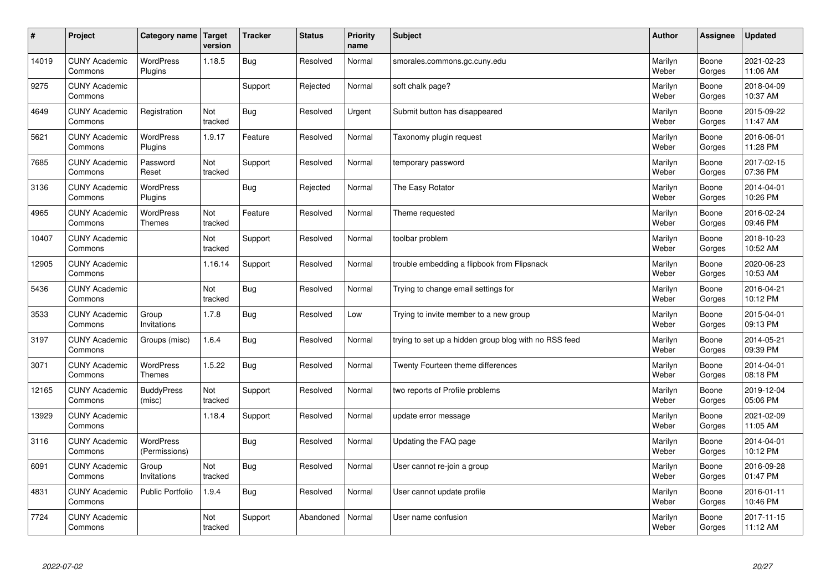| $\sharp$ | Project                         | Category name   Target            | version        | <b>Tracker</b> | <b>Status</b> | <b>Priority</b><br>name | <b>Subject</b>                                        | <b>Author</b>    | Assignee        | <b>Updated</b>         |
|----------|---------------------------------|-----------------------------------|----------------|----------------|---------------|-------------------------|-------------------------------------------------------|------------------|-----------------|------------------------|
| 14019    | <b>CUNY Academic</b><br>Commons | <b>WordPress</b><br>Plugins       | 1.18.5         | Bug            | Resolved      | Normal                  | smorales.commons.gc.cuny.edu                          | Marilyn<br>Weber | Boone<br>Gorges | 2021-02-23<br>11:06 AM |
| 9275     | <b>CUNY Academic</b><br>Commons |                                   |                | Support        | Rejected      | Normal                  | soft chalk page?                                      | Marilyn<br>Weber | Boone<br>Gorges | 2018-04-09<br>10:37 AM |
| 4649     | <b>CUNY Academic</b><br>Commons | Registration                      | Not<br>tracked | Bug            | Resolved      | Urgent                  | Submit button has disappeared                         | Marilyn<br>Weber | Boone<br>Gorges | 2015-09-22<br>11:47 AM |
| 5621     | <b>CUNY Academic</b><br>Commons | <b>WordPress</b><br>Plugins       | 1.9.17         | Feature        | Resolved      | Normal                  | Taxonomy plugin request                               | Marilyn<br>Weber | Boone<br>Gorges | 2016-06-01<br>11:28 PM |
| 7685     | <b>CUNY Academic</b><br>Commons | Password<br>Reset                 | Not<br>tracked | Support        | Resolved      | Normal                  | temporary password                                    | Marilyn<br>Weber | Boone<br>Gorges | 2017-02-15<br>07:36 PM |
| 3136     | <b>CUNY Academic</b><br>Commons | WordPress<br>Plugins              |                | Bug            | Rejected      | Normal                  | The Easy Rotator                                      | Marilyn<br>Weber | Boone<br>Gorges | 2014-04-01<br>10:26 PM |
| 4965     | <b>CUNY Academic</b><br>Commons | WordPress<br><b>Themes</b>        | Not<br>tracked | Feature        | Resolved      | Normal                  | Theme requested                                       | Marilyn<br>Weber | Boone<br>Gorges | 2016-02-24<br>09:46 PM |
| 10407    | <b>CUNY Academic</b><br>Commons |                                   | Not<br>tracked | Support        | Resolved      | Normal                  | toolbar problem                                       | Marilyn<br>Weber | Boone<br>Gorges | 2018-10-23<br>10:52 AM |
| 12905    | <b>CUNY Academic</b><br>Commons |                                   | 1.16.14        | Support        | Resolved      | Normal                  | trouble embedding a flipbook from Flipsnack           | Marilyn<br>Weber | Boone<br>Gorges | 2020-06-23<br>10:53 AM |
| 5436     | <b>CUNY Academic</b><br>Commons |                                   | Not<br>tracked | Bug            | Resolved      | Normal                  | Trying to change email settings for                   | Marilyn<br>Weber | Boone<br>Gorges | 2016-04-21<br>10:12 PM |
| 3533     | <b>CUNY Academic</b><br>Commons | Group<br>Invitations              | 1.7.8          | <b>Bug</b>     | Resolved      | Low                     | Trying to invite member to a new group                | Marilyn<br>Weber | Boone<br>Gorges | 2015-04-01<br>09:13 PM |
| 3197     | <b>CUNY Academic</b><br>Commons | Groups (misc)                     | 1.6.4          | Bug            | Resolved      | Normal                  | trying to set up a hidden group blog with no RSS feed | Marilyn<br>Weber | Boone<br>Gorges | 2014-05-21<br>09:39 PM |
| 3071     | <b>CUNY Academic</b><br>Commons | WordPress<br><b>Themes</b>        | 1.5.22         | Bug            | Resolved      | Normal                  | Twenty Fourteen theme differences                     | Marilyn<br>Weber | Boone<br>Gorges | 2014-04-01<br>08:18 PM |
| 12165    | <b>CUNY Academic</b><br>Commons | <b>BuddyPress</b><br>(misc)       | Not<br>tracked | Support        | Resolved      | Normal                  | two reports of Profile problems                       | Marilyn<br>Weber | Boone<br>Gorges | 2019-12-04<br>05:06 PM |
| 13929    | <b>CUNY Academic</b><br>Commons |                                   | 1.18.4         | Support        | Resolved      | Normal                  | update error message                                  | Marilyn<br>Weber | Boone<br>Gorges | 2021-02-09<br>11:05 AM |
| 3116     | <b>CUNY Academic</b><br>Commons | <b>WordPress</b><br>(Permissions) |                | Bug            | Resolved      | Normal                  | Updating the FAQ page                                 | Marilyn<br>Weber | Boone<br>Gorges | 2014-04-01<br>10:12 PM |
| 6091     | <b>CUNY Academic</b><br>Commons | Group<br>Invitations              | Not<br>tracked | Bug            | Resolved      | Normal                  | User cannot re-join a group                           | Marilyn<br>Weber | Boone<br>Gorges | 2016-09-28<br>01:47 PM |
| 4831     | <b>CUNY Academic</b><br>Commons | Public Portfolio                  | 1.9.4          | <b>Bug</b>     | Resolved      | Normal                  | User cannot update profile                            | Marilyn<br>Weber | Boone<br>Gorges | 2016-01-11<br>10:46 PM |
| 7724     | <b>CUNY Academic</b><br>Commons |                                   | Not<br>tracked | Support        | Abandoned     | Normal                  | User name confusion                                   | Marilyn<br>Weber | Boone<br>Gorges | 2017-11-15<br>11:12 AM |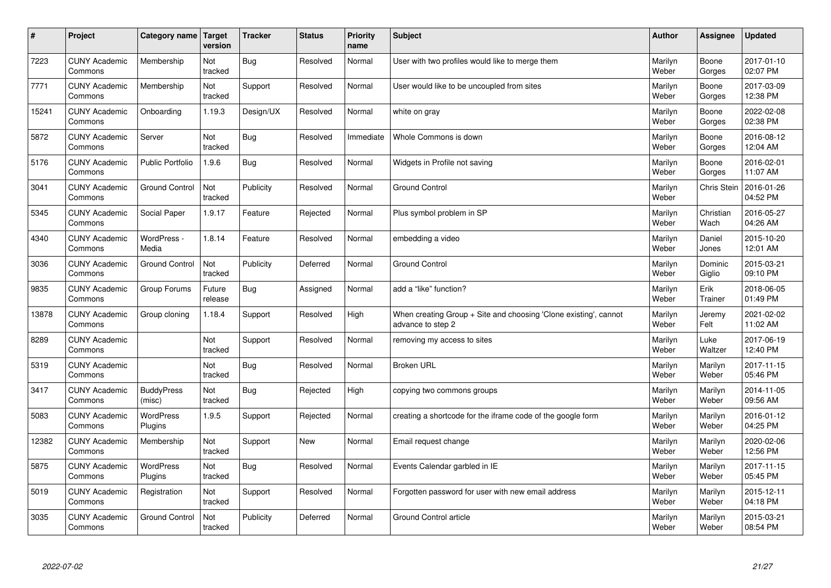| $\sharp$ | Project                         | Category name   Target      | version           | <b>Tracker</b> | <b>Status</b> | <b>Priority</b><br>name | <b>Subject</b>                                                                        | <b>Author</b>    | Assignee           | <b>Updated</b>         |
|----------|---------------------------------|-----------------------------|-------------------|----------------|---------------|-------------------------|---------------------------------------------------------------------------------------|------------------|--------------------|------------------------|
| 7223     | <b>CUNY Academic</b><br>Commons | Membership                  | Not<br>tracked    | Bug            | Resolved      | Normal                  | User with two profiles would like to merge them                                       | Marilyn<br>Weber | Boone<br>Gorges    | 2017-01-10<br>02:07 PM |
| 7771     | <b>CUNY Academic</b><br>Commons | Membership                  | Not<br>tracked    | Support        | Resolved      | Normal                  | User would like to be uncoupled from sites                                            | Marilyn<br>Weber | Boone<br>Gorges    | 2017-03-09<br>12:38 PM |
| 15241    | <b>CUNY Academic</b><br>Commons | Onboarding                  | 1.19.3            | Design/UX      | Resolved      | Normal                  | white on gray                                                                         | Marilyn<br>Weber | Boone<br>Gorges    | 2022-02-08<br>02:38 PM |
| 5872     | <b>CUNY Academic</b><br>Commons | Server                      | Not<br>tracked    | Bug            | Resolved      | Immediate               | Whole Commons is down                                                                 | Marilyn<br>Weber | Boone<br>Gorges    | 2016-08-12<br>12:04 AM |
| 5176     | <b>CUNY Academic</b><br>Commons | <b>Public Portfolio</b>     | 1.9.6             | Bug            | Resolved      | Normal                  | Widgets in Profile not saving                                                         | Marilyn<br>Weber | Boone<br>Gorges    | 2016-02-01<br>11:07 AM |
| 3041     | <b>CUNY Academic</b><br>Commons | <b>Ground Control</b>       | Not<br>tracked    | Publicity      | Resolved      | Normal                  | <b>Ground Control</b>                                                                 | Marilyn<br>Weber | <b>Chris Stein</b> | 2016-01-26<br>04:52 PM |
| 5345     | <b>CUNY Academic</b><br>Commons | Social Paper                | 1.9.17            | Feature        | Rejected      | Normal                  | Plus symbol problem in SP                                                             | Marilyn<br>Weber | Christian<br>Wach  | 2016-05-27<br>04:26 AM |
| 4340     | <b>CUNY Academic</b><br>Commons | WordPress -<br>Media        | 1.8.14            | Feature        | Resolved      | Normal                  | embedding a video                                                                     | Marilyn<br>Weber | Daniel<br>Jones    | 2015-10-20<br>12:01 AM |
| 3036     | <b>CUNY Academic</b><br>Commons | <b>Ground Control</b>       | Not<br>tracked    | Publicity      | Deferred      | Normal                  | <b>Ground Control</b>                                                                 | Marilyn<br>Weber | Dominic<br>Giglio  | 2015-03-21<br>09:10 PM |
| 9835     | <b>CUNY Academic</b><br>Commons | Group Forums                | Future<br>release | Bug            | Assigned      | Normal                  | add a "like" function?                                                                | Marilyn<br>Weber | Erik<br>Trainer    | 2018-06-05<br>01:49 PM |
| 13878    | <b>CUNY Academic</b><br>Commons | Group cloning               | 1.18.4            | Support        | Resolved      | High                    | When creating Group + Site and choosing 'Clone existing', cannot<br>advance to step 2 | Marilyn<br>Weber | Jeremy<br>Felt     | 2021-02-02<br>11:02 AM |
| 8289     | <b>CUNY Academic</b><br>Commons |                             | Not<br>tracked    | Support        | Resolved      | Normal                  | removing my access to sites                                                           | Marilyn<br>Weber | Luke<br>Waltzer    | 2017-06-19<br>12:40 PM |
| 5319     | <b>CUNY Academic</b><br>Commons |                             | Not<br>tracked    | Bug            | Resolved      | Normal                  | <b>Broken URL</b>                                                                     | Marilyn<br>Weber | Marilyn<br>Weber   | 2017-11-15<br>05:46 PM |
| 3417     | <b>CUNY Academic</b><br>Commons | <b>BuddyPress</b><br>(misc) | Not<br>tracked    | Bug            | Rejected      | High                    | copying two commons groups                                                            | Marilyn<br>Weber | Marilyn<br>Weber   | 2014-11-05<br>09:56 AM |
| 5083     | <b>CUNY Academic</b><br>Commons | <b>WordPress</b><br>Plugins | 1.9.5             | Support        | Rejected      | Normal                  | creating a shortcode for the iframe code of the google form                           | Marilyn<br>Weber | Marilyn<br>Weber   | 2016-01-12<br>04:25 PM |
| 12382    | <b>CUNY Academic</b><br>Commons | Membership                  | Not<br>tracked    | Support        | <b>New</b>    | Normal                  | Email request change                                                                  | Marilyn<br>Weber | Marilyn<br>Weber   | 2020-02-06<br>12:56 PM |
| 5875     | <b>CUNY Academic</b><br>Commons | WordPress<br>Plugins        | Not<br>tracked    | Bug            | Resolved      | Normal                  | Events Calendar garbled in IE                                                         | Marilyn<br>Weber | Marilyn<br>Weber   | 2017-11-15<br>05:45 PM |
| 5019     | <b>CUNY Academic</b><br>Commons | Registration                | Not<br>tracked    | Support        | Resolved      | Normal                  | Forgotten password for user with new email address                                    | Marilyn<br>Weber | Marilyn<br>Weber   | 2015-12-11<br>04:18 PM |
| 3035     | <b>CUNY Academic</b><br>Commons | <b>Ground Control</b>       | Not<br>tracked    | Publicity      | Deferred      | Normal                  | Ground Control article                                                                | Marilyn<br>Weber | Marilyn<br>Weber   | 2015-03-21<br>08:54 PM |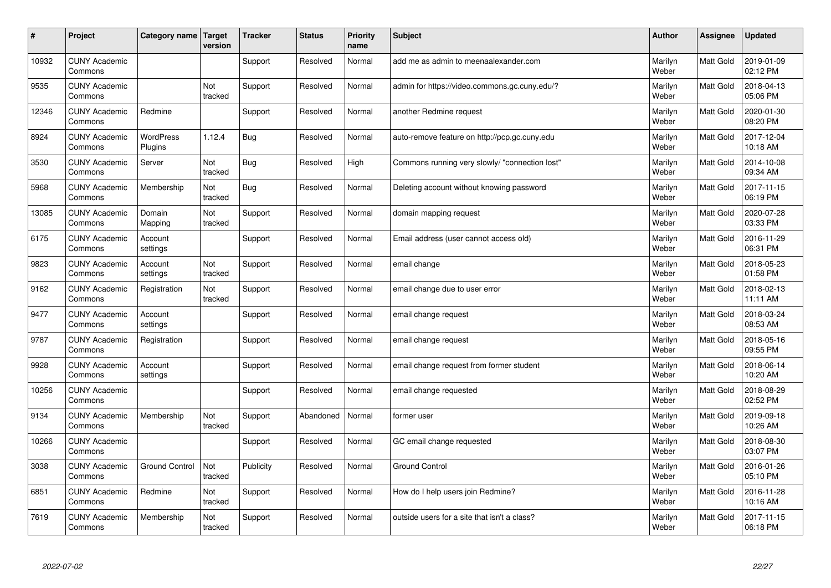| #     | Project                         | Category name               | Target<br>version | <b>Tracker</b> | <b>Status</b> | <b>Priority</b><br>name | <b>Subject</b>                                 | <b>Author</b>    | Assignee         | <b>Updated</b>         |
|-------|---------------------------------|-----------------------------|-------------------|----------------|---------------|-------------------------|------------------------------------------------|------------------|------------------|------------------------|
| 10932 | <b>CUNY Academic</b><br>Commons |                             |                   | Support        | Resolved      | Normal                  | add me as admin to meenaalexander.com          | Marilyn<br>Weber | Matt Gold        | 2019-01-09<br>02:12 PM |
| 9535  | <b>CUNY Academic</b><br>Commons |                             | Not<br>tracked    | Support        | Resolved      | Normal                  | admin for https://video.commons.gc.cuny.edu/?  | Marilyn<br>Weber | Matt Gold        | 2018-04-13<br>05:06 PM |
| 12346 | <b>CUNY Academic</b><br>Commons | Redmine                     |                   | Support        | Resolved      | Normal                  | another Redmine request                        | Marilyn<br>Weber | Matt Gold        | 2020-01-30<br>08:20 PM |
| 8924  | <b>CUNY Academic</b><br>Commons | <b>WordPress</b><br>Plugins | 1.12.4            | <b>Bug</b>     | Resolved      | Normal                  | auto-remove feature on http://pcp.gc.cuny.edu  | Marilyn<br>Weber | Matt Gold        | 2017-12-04<br>10:18 AM |
| 3530  | <b>CUNY Academic</b><br>Commons | Server                      | Not<br>tracked    | <b>Bug</b>     | Resolved      | High                    | Commons running very slowly/ "connection lost" | Marilyn<br>Weber | <b>Matt Gold</b> | 2014-10-08<br>09:34 AM |
| 5968  | <b>CUNY Academic</b><br>Commons | Membership                  | Not<br>tracked    | Bug            | Resolved      | Normal                  | Deleting account without knowing password      | Marilyn<br>Weber | Matt Gold        | 2017-11-15<br>06:19 PM |
| 13085 | <b>CUNY Academic</b><br>Commons | Domain<br>Mapping           | Not<br>tracked    | Support        | Resolved      | Normal                  | domain mapping request                         | Marilyn<br>Weber | Matt Gold        | 2020-07-28<br>03:33 PM |
| 6175  | <b>CUNY Academic</b><br>Commons | Account<br>settings         |                   | Support        | Resolved      | Normal                  | Email address (user cannot access old)         | Marilyn<br>Weber | Matt Gold        | 2016-11-29<br>06:31 PM |
| 9823  | <b>CUNY Academic</b><br>Commons | Account<br>settings         | Not<br>tracked    | Support        | Resolved      | Normal                  | email change                                   | Marilyn<br>Weber | Matt Gold        | 2018-05-23<br>01:58 PM |
| 9162  | <b>CUNY Academic</b><br>Commons | Registration                | Not<br>tracked    | Support        | Resolved      | Normal                  | email change due to user error                 | Marilyn<br>Weber | Matt Gold        | 2018-02-13<br>11:11 AM |
| 9477  | <b>CUNY Academic</b><br>Commons | Account<br>settings         |                   | Support        | Resolved      | Normal                  | email change request                           | Marilyn<br>Weber | Matt Gold        | 2018-03-24<br>08:53 AM |
| 9787  | <b>CUNY Academic</b><br>Commons | Registration                |                   | Support        | Resolved      | Normal                  | email change request                           | Marilyn<br>Weber | Matt Gold        | 2018-05-16<br>09:55 PM |
| 9928  | <b>CUNY Academic</b><br>Commons | Account<br>settings         |                   | Support        | Resolved      | Normal                  | email change request from former student       | Marilyn<br>Weber | Matt Gold        | 2018-06-14<br>10:20 AM |
| 10256 | <b>CUNY Academic</b><br>Commons |                             |                   | Support        | Resolved      | Normal                  | email change requested                         | Marilyn<br>Weber | Matt Gold        | 2018-08-29<br>02:52 PM |
| 9134  | <b>CUNY Academic</b><br>Commons | Membership                  | Not<br>tracked    | Support        | Abandoned     | Normal                  | former user                                    | Marilyn<br>Weber | Matt Gold        | 2019-09-18<br>10:26 AM |
| 10266 | <b>CUNY Academic</b><br>Commons |                             |                   | Support        | Resolved      | Normal                  | GC email change requested                      | Marilyn<br>Weber | Matt Gold        | 2018-08-30<br>03:07 PM |
| 3038  | <b>CUNY Academic</b><br>Commons | <b>Ground Control</b>       | Not<br>tracked    | Publicity      | Resolved      | Normal                  | <b>Ground Control</b>                          | Marilyn<br>Weber | Matt Gold        | 2016-01-26<br>05:10 PM |
| 6851  | <b>CUNY Academic</b><br>Commons | Redmine                     | Not<br>tracked    | Support        | Resolved      | Normal                  | How do I help users join Redmine?              | Marilyn<br>Weber | Matt Gold        | 2016-11-28<br>10:16 AM |
| 7619  | <b>CUNY Academic</b><br>Commons | Membership                  | Not<br>tracked    | Support        | Resolved      | Normal                  | outside users for a site that isn't a class?   | Marilyn<br>Weber | Matt Gold        | 2017-11-15<br>06:18 PM |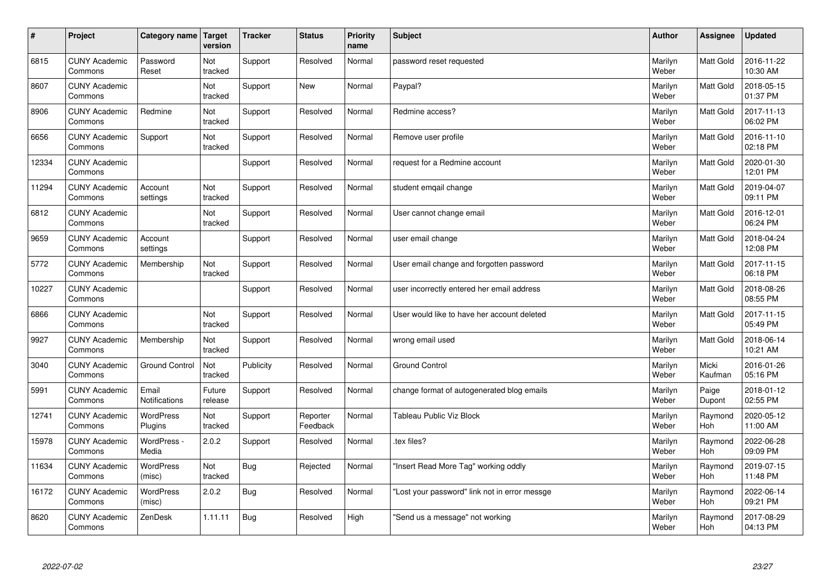| $\vert$ # | Project                         | Category name Target          | version           | <b>Tracker</b> | <b>Status</b>        | <b>Priority</b><br>name | <b>Subject</b>                                | <b>Author</b>    | <b>Assignee</b>  | <b>Updated</b>         |
|-----------|---------------------------------|-------------------------------|-------------------|----------------|----------------------|-------------------------|-----------------------------------------------|------------------|------------------|------------------------|
| 6815      | <b>CUNY Academic</b><br>Commons | Password<br>Reset             | Not<br>tracked    | Support        | Resolved             | Normal                  | password reset requested                      | Marilyn<br>Weber | <b>Matt Gold</b> | 2016-11-22<br>10:30 AM |
| 8607      | <b>CUNY Academic</b><br>Commons |                               | Not<br>tracked    | Support        | <b>New</b>           | Normal                  | Paypal?                                       | Marilyn<br>Weber | <b>Matt Gold</b> | 2018-05-15<br>01:37 PM |
| 8906      | <b>CUNY Academic</b><br>Commons | Redmine                       | Not<br>tracked    | Support        | Resolved             | Normal                  | Redmine access?                               | Marilyn<br>Weber | Matt Gold        | 2017-11-13<br>06:02 PM |
| 6656      | <b>CUNY Academic</b><br>Commons | Support                       | Not<br>tracked    | Support        | Resolved             | Normal                  | Remove user profile                           | Marilyn<br>Weber | Matt Gold        | 2016-11-10<br>02:18 PM |
| 12334     | <b>CUNY Academic</b><br>Commons |                               |                   | Support        | Resolved             | Normal                  | request for a Redmine account                 | Marilyn<br>Weber | Matt Gold        | 2020-01-30<br>12:01 PM |
| 11294     | <b>CUNY Academic</b><br>Commons | Account<br>settings           | Not<br>tracked    | Support        | Resolved             | Normal                  | student emgail change                         | Marilyn<br>Weber | Matt Gold        | 2019-04-07<br>09:11 PM |
| 6812      | <b>CUNY Academic</b><br>Commons |                               | Not<br>tracked    | Support        | Resolved             | Normal                  | User cannot change email                      | Marilyn<br>Weber | Matt Gold        | 2016-12-01<br>06:24 PM |
| 9659      | <b>CUNY Academic</b><br>Commons | Account<br>settings           |                   | Support        | Resolved             | Normal                  | user email change                             | Marilyn<br>Weber | Matt Gold        | 2018-04-24<br>12:08 PM |
| 5772      | <b>CUNY Academic</b><br>Commons | Membership                    | Not<br>tracked    | Support        | Resolved             | Normal                  | User email change and forgotten password      | Marilyn<br>Weber | Matt Gold        | 2017-11-15<br>06:18 PM |
| 10227     | <b>CUNY Academic</b><br>Commons |                               |                   | Support        | Resolved             | Normal                  | user incorrectly entered her email address    | Marilyn<br>Weber | Matt Gold        | 2018-08-26<br>08:55 PM |
| 6866      | <b>CUNY Academic</b><br>Commons |                               | Not<br>tracked    | Support        | Resolved             | Normal                  | User would like to have her account deleted   | Marilyn<br>Weber | Matt Gold        | 2017-11-15<br>05:49 PM |
| 9927      | <b>CUNY Academic</b><br>Commons | Membership                    | Not<br>tracked    | Support        | Resolved             | Normal                  | wrong email used                              | Marilyn<br>Weber | Matt Gold        | 2018-06-14<br>10:21 AM |
| 3040      | <b>CUNY Academic</b><br>Commons | <b>Ground Control</b>         | Not<br>tracked    | Publicity      | Resolved             | Normal                  | <b>Ground Control</b>                         | Marilyn<br>Weber | Micki<br>Kaufman | 2016-01-26<br>05:16 PM |
| 5991      | <b>CUNY Academic</b><br>Commons | Email<br><b>Notifications</b> | Future<br>release | Support        | Resolved             | Normal                  | change format of autogenerated blog emails    | Marilyn<br>Weber | Paige<br>Dupont  | 2018-01-12<br>02:55 PM |
| 12741     | <b>CUNY Academic</b><br>Commons | <b>WordPress</b><br>Plugins   | Not<br>tracked    | Support        | Reporter<br>Feedback | Normal                  | Tableau Public Viz Block                      | Marilyn<br>Weber | Raymond<br>Hoh   | 2020-05-12<br>11:00 AM |
| 15978     | <b>CUNY Academic</b><br>Commons | WordPress -<br>Media          | 2.0.2             | Support        | Resolved             | Normal                  | tex files?                                    | Marilyn<br>Weber | Raymond<br>Hoh   | 2022-06-28<br>09:09 PM |
| 11634     | <b>CUNY Academic</b><br>Commons | WordPress<br>(misc)           | Not<br>tracked    | <b>Bug</b>     | Rejected             | Normal                  | 'Insert Read More Tag" working oddly          | Marilyn<br>Weber | Raymond<br>Hoh   | 2019-07-15<br>11:48 PM |
| 16172     | <b>CUNY Academic</b><br>Commons | <b>WordPress</b><br>(misc)    | 2.0.2             | Bug            | Resolved             | Normal                  | 'Lost your password" link not in error messge | Marilyn<br>Weber | Raymond<br>Hoh   | 2022-06-14<br>09:21 PM |
| 8620      | <b>CUNY Academic</b><br>Commons | ZenDesk                       | 1.11.11           | Bug            | Resolved             | High                    | 'Send us a message" not working               | Marilyn<br>Weber | Raymond<br>Hoh   | 2017-08-29<br>04:13 PM |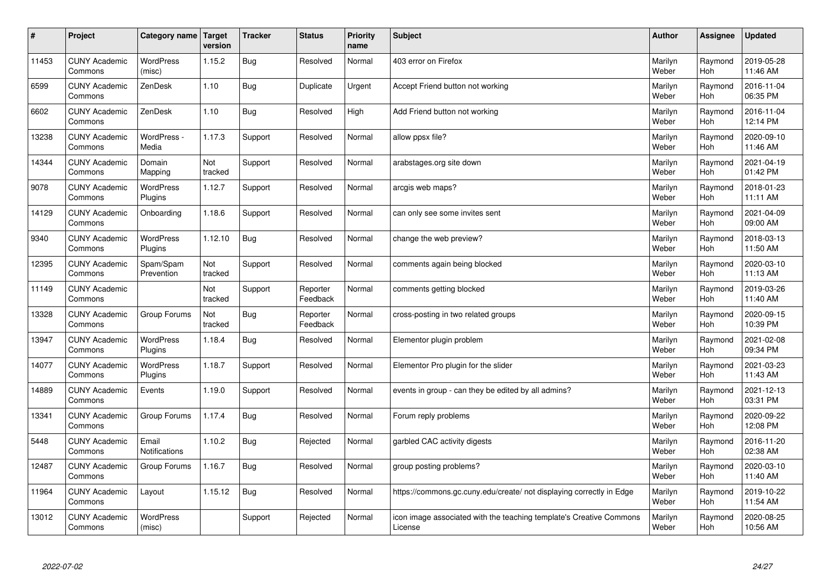| $\sharp$ | Project                         | Category name   Target      | version        | <b>Tracker</b> | <b>Status</b>        | <b>Priority</b><br>name | <b>Subject</b>                                                                 | <b>Author</b>    | <b>Assignee</b> | <b>Updated</b>         |
|----------|---------------------------------|-----------------------------|----------------|----------------|----------------------|-------------------------|--------------------------------------------------------------------------------|------------------|-----------------|------------------------|
| 11453    | <b>CUNY Academic</b><br>Commons | <b>WordPress</b><br>(misc)  | 1.15.2         | <b>Bug</b>     | Resolved             | Normal                  | 403 error on Firefox                                                           | Marilyn<br>Weber | Raymond<br>Hoh  | 2019-05-28<br>11:46 AM |
| 6599     | <b>CUNY Academic</b><br>Commons | ZenDesk                     | 1.10           | <b>Bug</b>     | Duplicate            | Urgent                  | Accept Friend button not working                                               | Marilyn<br>Weber | Raymond<br>Hoh  | 2016-11-04<br>06:35 PM |
| 6602     | <b>CUNY Academic</b><br>Commons | ZenDesk                     | 1.10           | <b>Bug</b>     | Resolved             | High                    | Add Friend button not working                                                  | Marilyn<br>Weber | Raymond<br>Hoh  | 2016-11-04<br>12:14 PM |
| 13238    | <b>CUNY Academic</b><br>Commons | WordPress -<br>Media        | 1.17.3         | Support        | Resolved             | Normal                  | allow ppsx file?                                                               | Marilyn<br>Weber | Raymond<br>Hoh  | 2020-09-10<br>11:46 AM |
| 14344    | <b>CUNY Academic</b><br>Commons | Domain<br>Mapping           | Not<br>tracked | Support        | Resolved             | Normal                  | arabstages.org site down                                                       | Marilyn<br>Weber | Raymond<br>Hoh  | 2021-04-19<br>01:42 PM |
| 9078     | <b>CUNY Academic</b><br>Commons | <b>WordPress</b><br>Plugins | 1.12.7         | Support        | Resolved             | Normal                  | arcgis web maps?                                                               | Marilyn<br>Weber | Raymond<br>Hoh  | 2018-01-23<br>11:11 AM |
| 14129    | <b>CUNY Academic</b><br>Commons | Onboarding                  | 1.18.6         | Support        | Resolved             | Normal                  | can only see some invites sent                                                 | Marilyn<br>Weber | Raymond<br>Hoh  | 2021-04-09<br>09:00 AM |
| 9340     | <b>CUNY Academic</b><br>Commons | WordPress<br>Plugins        | 1.12.10        | Bug            | Resolved             | Normal                  | change the web preview?                                                        | Marilyn<br>Weber | Raymond<br>Hoh  | 2018-03-13<br>11:50 AM |
| 12395    | <b>CUNY Academic</b><br>Commons | Spam/Spam<br>Prevention     | Not<br>tracked | Support        | Resolved             | Normal                  | comments again being blocked                                                   | Marilyn<br>Weber | Raymond<br>Hoh  | 2020-03-10<br>11:13 AM |
| 11149    | <b>CUNY Academic</b><br>Commons |                             | Not<br>tracked | Support        | Reporter<br>Feedback | Normal                  | comments getting blocked                                                       | Marilyn<br>Weber | Raymond<br>Hoh  | 2019-03-26<br>11:40 AM |
| 13328    | <b>CUNY Academic</b><br>Commons | Group Forums                | Not<br>tracked | <b>Bug</b>     | Reporter<br>Feedback | Normal                  | cross-posting in two related groups                                            | Marilyn<br>Weber | Raymond<br>Hoh  | 2020-09-15<br>10:39 PM |
| 13947    | <b>CUNY Academic</b><br>Commons | WordPress<br>Plugins        | 1.18.4         | Bug            | Resolved             | Normal                  | Elementor plugin problem                                                       | Marilyn<br>Weber | Raymond<br>Hoh  | 2021-02-08<br>09:34 PM |
| 14077    | <b>CUNY Academic</b><br>Commons | <b>WordPress</b><br>Plugins | 1.18.7         | Support        | Resolved             | Normal                  | Elementor Pro plugin for the slider                                            | Marilyn<br>Weber | Raymond<br>Hoh  | 2021-03-23<br>11:43 AM |
| 14889    | <b>CUNY Academic</b><br>Commons | Events                      | 1.19.0         | Support        | Resolved             | Normal                  | events in group - can they be edited by all admins?                            | Marilyn<br>Weber | Raymond<br>Hoh  | 2021-12-13<br>03:31 PM |
| 13341    | <b>CUNY Academic</b><br>Commons | Group Forums                | 1.17.4         | <b>Bug</b>     | Resolved             | Normal                  | Forum reply problems                                                           | Marilyn<br>Weber | Raymond<br>Hoh  | 2020-09-22<br>12:08 PM |
| 5448     | <b>CUNY Academic</b><br>Commons | Email<br>Notifications      | 1.10.2         | <b>Bug</b>     | Rejected             | Normal                  | garbled CAC activity digests                                                   | Marilyn<br>Weber | Raymond<br>Hoh  | 2016-11-20<br>02:38 AM |
| 12487    | <b>CUNY Academic</b><br>Commons | Group Forums                | 1.16.7         | <b>Bug</b>     | Resolved             | Normal                  | group posting problems?                                                        | Marilyn<br>Weber | Raymond<br>Hoh  | 2020-03-10<br>11:40 AM |
| 11964    | <b>CUNY Academic</b><br>Commons | Layout                      | 1.15.12        | Bug            | Resolved             | Normal                  | https://commons.gc.cuny.edu/create/ not displaying correctly in Edge           | Marilyn<br>Weber | Raymond<br>Hoh  | 2019-10-22<br>11:54 AM |
| 13012    | <b>CUNY Academic</b><br>Commons | <b>WordPress</b><br>(misc)  |                | Support        | Rejected             | Normal                  | icon image associated with the teaching template's Creative Commons<br>License | Marilyn<br>Weber | Raymond<br>Hoh  | 2020-08-25<br>10:56 AM |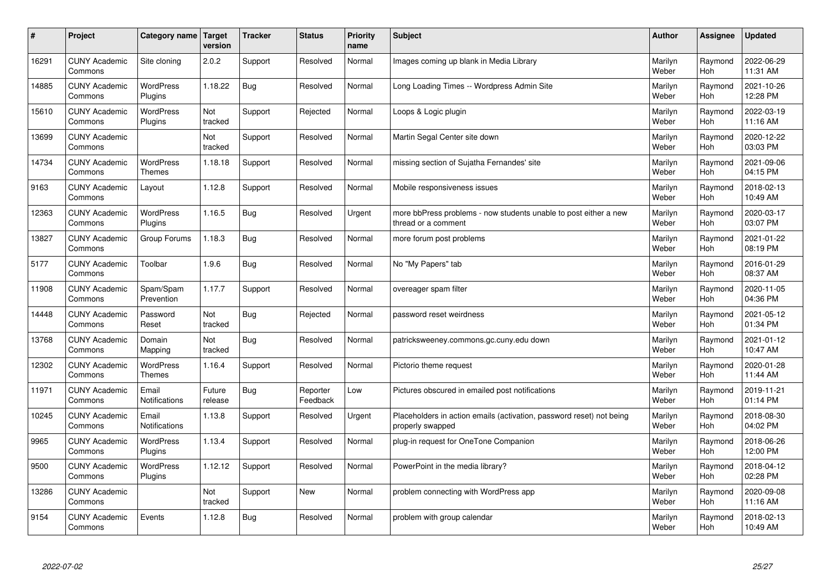| #     | Project                         | <b>Category name</b>              | Target<br>version | <b>Tracker</b> | <b>Status</b>        | <b>Priority</b><br>name | <b>Subject</b>                                                                           | <b>Author</b>    | Assignee       | <b>Updated</b>         |
|-------|---------------------------------|-----------------------------------|-------------------|----------------|----------------------|-------------------------|------------------------------------------------------------------------------------------|------------------|----------------|------------------------|
| 16291 | <b>CUNY Academic</b><br>Commons | Site cloning                      | 2.0.2             | Support        | Resolved             | Normal                  | Images coming up blank in Media Library                                                  | Marilyn<br>Weber | Raymond<br>Hoh | 2022-06-29<br>11:31 AM |
| 14885 | <b>CUNY Academic</b><br>Commons | <b>WordPress</b><br>Plugins       | 1.18.22           | <b>Bug</b>     | Resolved             | Normal                  | Long Loading Times -- Wordpress Admin Site                                               | Marilyn<br>Weber | Raymond<br>Hoh | 2021-10-26<br>12:28 PM |
| 15610 | <b>CUNY Academic</b><br>Commons | <b>WordPress</b><br>Plugins       | Not<br>tracked    | Support        | Rejected             | Normal                  | Loops & Logic plugin                                                                     | Marilyn<br>Weber | Raymond<br>Hoh | 2022-03-19<br>11:16 AM |
| 13699 | <b>CUNY Academic</b><br>Commons |                                   | Not<br>tracked    | Support        | Resolved             | Normal                  | Martin Segal Center site down                                                            | Marilyn<br>Weber | Raymond<br>Hoh | 2020-12-22<br>03:03 PM |
| 14734 | <b>CUNY Academic</b><br>Commons | <b>WordPress</b><br><b>Themes</b> | 1.18.18           | Support        | Resolved             | Normal                  | missing section of Sujatha Fernandes' site                                               | Marilyn<br>Weber | Raymond<br>Hoh | 2021-09-06<br>04:15 PM |
| 9163  | <b>CUNY Academic</b><br>Commons | Layout                            | 1.12.8            | Support        | Resolved             | Normal                  | Mobile responsiveness issues                                                             | Marilyn<br>Weber | Raymond<br>Hoh | 2018-02-13<br>10:49 AM |
| 12363 | <b>CUNY Academic</b><br>Commons | <b>WordPress</b><br>Plugins       | 1.16.5            | Bug            | Resolved             | Urgent                  | more bbPress problems - now students unable to post either a new<br>thread or a comment  | Marilyn<br>Weber | Raymond<br>Hoh | 2020-03-17<br>03:07 PM |
| 13827 | <b>CUNY Academic</b><br>Commons | Group Forums                      | 1.18.3            | Bug            | Resolved             | Normal                  | more forum post problems                                                                 | Marilyn<br>Weber | Raymond<br>Hoh | 2021-01-22<br>08:19 PM |
| 5177  | <b>CUNY Academic</b><br>Commons | Toolbar                           | 1.9.6             | <b>Bug</b>     | Resolved             | Normal                  | No "My Papers" tab                                                                       | Marilyn<br>Weber | Raymond<br>Hoh | 2016-01-29<br>08:37 AM |
| 11908 | <b>CUNY Academic</b><br>Commons | Spam/Spam<br>Prevention           | 1.17.7            | Support        | Resolved             | Normal                  | overeager spam filter                                                                    | Marilyn<br>Weber | Raymond<br>Hoh | 2020-11-05<br>04:36 PM |
| 14448 | <b>CUNY Academic</b><br>Commons | Password<br>Reset                 | Not<br>tracked    | <b>Bug</b>     | Rejected             | Normal                  | password reset weirdness                                                                 | Marilyn<br>Weber | Raymond<br>Hoh | 2021-05-12<br>01:34 PM |
| 13768 | <b>CUNY Academic</b><br>Commons | Domain<br>Mapping                 | Not<br>tracked    | <b>Bug</b>     | Resolved             | Normal                  | patricksweeney.commons.gc.cuny.edu down                                                  | Marilyn<br>Weber | Raymond<br>Hoh | 2021-01-12<br>10:47 AM |
| 12302 | <b>CUNY Academic</b><br>Commons | <b>WordPress</b><br><b>Themes</b> | 1.16.4            | Support        | Resolved             | Normal                  | Pictorio theme request                                                                   | Marilyn<br>Weber | Raymond<br>Hoh | 2020-01-28<br>11:44 AM |
| 11971 | <b>CUNY Academic</b><br>Commons | Email<br>Notifications            | Future<br>release | <b>Bug</b>     | Reporter<br>Feedback | Low                     | Pictures obscured in emailed post notifications                                          | Marilyn<br>Weber | Raymond<br>Hoh | 2019-11-21<br>01:14 PM |
| 10245 | <b>CUNY Academic</b><br>Commons | Email<br><b>Notifications</b>     | 1.13.8            | Support        | Resolved             | Urgent                  | Placeholders in action emails (activation, password reset) not being<br>properly swapped | Marilyn<br>Weber | Raymond<br>Hoh | 2018-08-30<br>04:02 PM |
| 9965  | <b>CUNY Academic</b><br>Commons | <b>WordPress</b><br>Plugins       | 1.13.4            | Support        | Resolved             | Normal                  | plug-in request for OneTone Companion                                                    | Marilyn<br>Weber | Raymond<br>Hoh | 2018-06-26<br>12:00 PM |
| 9500  | <b>CUNY Academic</b><br>Commons | <b>WordPress</b><br>Plugins       | 1.12.12           | Support        | Resolved             | Normal                  | PowerPoint in the media library?                                                         | Marilyn<br>Weber | Raymond<br>Hoh | 2018-04-12<br>02:28 PM |
| 13286 | <b>CUNY Academic</b><br>Commons |                                   | Not<br>tracked    | Support        | <b>New</b>           | Normal                  | problem connecting with WordPress app                                                    | Marilyn<br>Weber | Raymond<br>Hoh | 2020-09-08<br>11:16 AM |
| 9154  | <b>CUNY Academic</b><br>Commons | Events                            | 1.12.8            | Bug            | Resolved             | Normal                  | problem with group calendar                                                              | Marilyn<br>Weber | Raymond<br>Hoh | 2018-02-13<br>10:49 AM |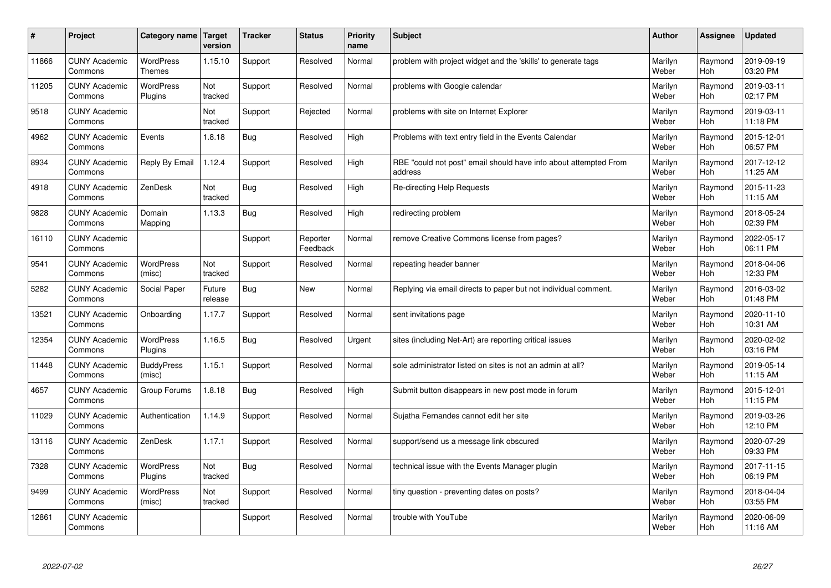| #     | Project                         | Category name               | <b>Target</b><br>version | <b>Tracker</b> | <b>Status</b>        | <b>Priority</b><br>name | <b>Subject</b>                                                              | <b>Author</b>    | Assignee       | <b>Updated</b>         |
|-------|---------------------------------|-----------------------------|--------------------------|----------------|----------------------|-------------------------|-----------------------------------------------------------------------------|------------------|----------------|------------------------|
| 11866 | <b>CUNY Academic</b><br>Commons | WordPress<br><b>Themes</b>  | 1.15.10                  | Support        | Resolved             | Normal                  | problem with project widget and the 'skills' to generate tags               | Marilyn<br>Weber | Raymond<br>Hoh | 2019-09-19<br>03:20 PM |
| 11205 | <b>CUNY Academic</b><br>Commons | <b>WordPress</b><br>Plugins | Not<br>tracked           | Support        | Resolved             | Normal                  | problems with Google calendar                                               | Marilyn<br>Weber | Raymond<br>Hoh | 2019-03-11<br>02:17 PM |
| 9518  | <b>CUNY Academic</b><br>Commons |                             | Not<br>tracked           | Support        | Rejected             | Normal                  | problems with site on Internet Explorer                                     | Marilyn<br>Weber | Raymond<br>Hoh | 2019-03-11<br>11:18 PM |
| 4962  | <b>CUNY Academic</b><br>Commons | Events                      | 1.8.18                   | Bug            | Resolved             | High                    | Problems with text entry field in the Events Calendar                       | Marilyn<br>Weber | Raymond<br>Hoh | 2015-12-01<br>06:57 PM |
| 8934  | <b>CUNY Academic</b><br>Commons | Reply By Email              | 1.12.4                   | Support        | Resolved             | High                    | RBE "could not post" email should have info about attempted From<br>address | Marilyn<br>Weber | Raymond<br>Hoh | 2017-12-12<br>11:25 AM |
| 4918  | <b>CUNY Academic</b><br>Commons | ZenDesk                     | Not<br>tracked           | <b>Bug</b>     | Resolved             | High                    | Re-directing Help Requests                                                  | Marilyn<br>Weber | Raymond<br>Hoh | 2015-11-23<br>11:15 AM |
| 9828  | <b>CUNY Academic</b><br>Commons | Domain<br>Mapping           | 1.13.3                   | <b>Bug</b>     | Resolved             | High                    | redirecting problem                                                         | Marilyn<br>Weber | Raymond<br>Hoh | 2018-05-24<br>02:39 PM |
| 16110 | <b>CUNY Academic</b><br>Commons |                             |                          | Support        | Reporter<br>Feedback | Normal                  | remove Creative Commons license from pages?                                 | Marilyn<br>Weber | Raymond<br>Hoh | 2022-05-17<br>06:11 PM |
| 9541  | <b>CUNY Academic</b><br>Commons | <b>WordPress</b><br>(misc)  | Not<br>tracked           | Support        | Resolved             | Normal                  | repeating header banner                                                     | Marilyn<br>Weber | Raymond<br>Hoh | 2018-04-06<br>12:33 PM |
| 5282  | <b>CUNY Academic</b><br>Commons | Social Paper                | Future<br>release        | <b>Bug</b>     | New                  | Normal                  | Replying via email directs to paper but not individual comment.             | Marilyn<br>Weber | Raymond<br>Hoh | 2016-03-02<br>01:48 PM |
| 13521 | <b>CUNY Academic</b><br>Commons | Onboarding                  | 1.17.7                   | Support        | Resolved             | Normal                  | sent invitations page                                                       | Marilyn<br>Weber | Raymond<br>Hoh | 2020-11-10<br>10:31 AM |
| 12354 | <b>CUNY Academic</b><br>Commons | WordPress<br>Plugins        | 1.16.5                   | <b>Bug</b>     | Resolved             | Urgent                  | sites (including Net-Art) are reporting critical issues                     | Marilyn<br>Weber | Raymond<br>Hoh | 2020-02-02<br>03:16 PM |
| 11448 | <b>CUNY Academic</b><br>Commons | <b>BuddyPress</b><br>(misc) | 1.15.1                   | Support        | Resolved             | Normal                  | sole administrator listed on sites is not an admin at all?                  | Marilyn<br>Weber | Raymond<br>Hoh | 2019-05-14<br>11:15 AM |
| 4657  | <b>CUNY Academic</b><br>Commons | Group Forums                | 1.8.18                   | <b>Bug</b>     | Resolved             | High                    | Submit button disappears in new post mode in forum                          | Marilyn<br>Weber | Raymond<br>Hoh | 2015-12-01<br>11:15 PM |
| 11029 | <b>CUNY Academic</b><br>Commons | Authentication              | 1.14.9                   | Support        | Resolved             | Normal                  | Sujatha Fernandes cannot edit her site                                      | Marilyn<br>Weber | Raymond<br>Hoh | 2019-03-26<br>12:10 PM |
| 13116 | <b>CUNY Academic</b><br>Commons | ZenDesk                     | 1.17.1                   | Support        | Resolved             | Normal                  | support/send us a message link obscured                                     | Marilyn<br>Weber | Raymond<br>Hoh | 2020-07-29<br>09:33 PM |
| 7328  | <b>CUNY Academic</b><br>Commons | <b>WordPress</b><br>Plugins | Not<br>tracked           | Bug            | Resolved             | Normal                  | technical issue with the Events Manager plugin                              | Marilyn<br>Weber | Raymond<br>Hoh | 2017-11-15<br>06:19 PM |
| 9499  | <b>CUNY Academic</b><br>Commons | <b>WordPress</b><br>(misc)  | Not<br>tracked           | Support        | Resolved             | Normal                  | tiny question - preventing dates on posts?                                  | Marilyn<br>Weber | Raymond<br>Hoh | 2018-04-04<br>03:55 PM |
| 12861 | <b>CUNY Academic</b><br>Commons |                             |                          | Support        | Resolved             | Normal                  | trouble with YouTube                                                        | Marilyn<br>Weber | Raymond<br>Hoh | 2020-06-09<br>11:16 AM |